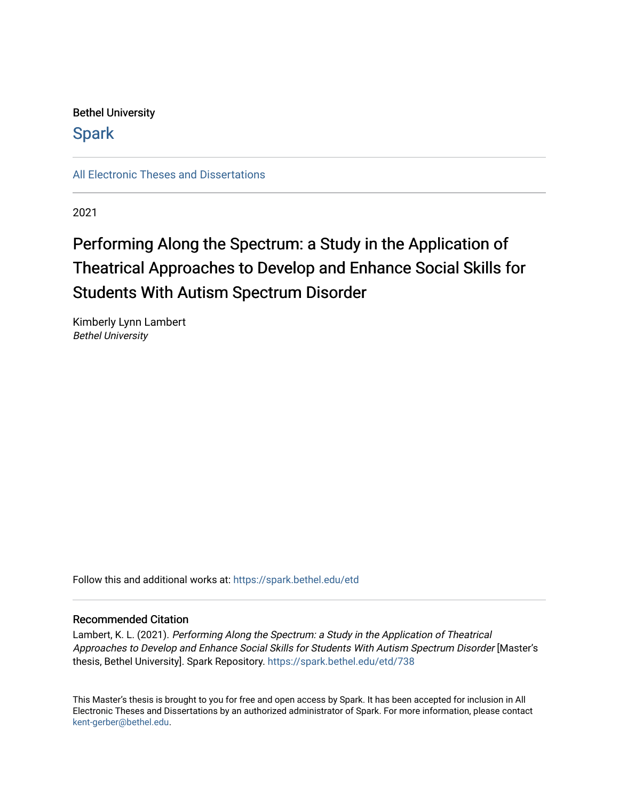Bethel University

**Spark** 

[All Electronic Theses and Dissertations](https://spark.bethel.edu/etd) 

2021

# Performing Along the Spectrum: a Study in the Application of Theatrical Approaches to Develop and Enhance Social Skills for Students With Autism Spectrum Disorder

Kimberly Lynn Lambert Bethel University

Follow this and additional works at: [https://spark.bethel.edu/etd](https://spark.bethel.edu/etd?utm_source=spark.bethel.edu%2Fetd%2F738&utm_medium=PDF&utm_campaign=PDFCoverPages)

## Recommended Citation

Lambert, K. L. (2021). Performing Along the Spectrum: a Study in the Application of Theatrical Approaches to Develop and Enhance Social Skills for Students With Autism Spectrum Disorder [Master's thesis, Bethel University]. Spark Repository. [https://spark.bethel.edu/etd/738](https://spark.bethel.edu/etd/738?utm_source=spark.bethel.edu%2Fetd%2F738&utm_medium=PDF&utm_campaign=PDFCoverPages)

This Master's thesis is brought to you for free and open access by Spark. It has been accepted for inclusion in All Electronic Theses and Dissertations by an authorized administrator of Spark. For more information, please contact [kent-gerber@bethel.edu](mailto:kent-gerber@bethel.edu).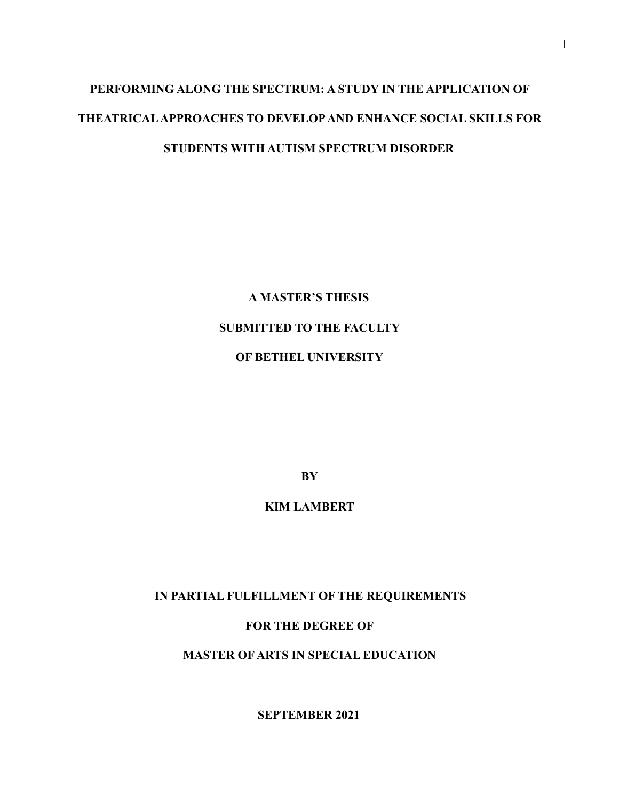# **PERFORMING ALONG THE SPECTRUM: A STUDY IN THE APPLICATION OF THEATRICAL APPROACHES TO DEVELOP AND ENHANCE SOCIAL SKILLS FOR STUDENTS WITH AUTISM SPECTRUM DISORDER**

**A MASTER'S THESIS SUBMITTED TO THE FACULTY OF BETHEL UNIVERSITY** 

**BY** 

**KIM LAMBERT** 

 **IN PARTIAL FULFILLMENT OF THE REQUIREMENTS** 

**FOR THE DEGREE OF** 

**MASTER OF ARTS IN SPECIAL EDUCATION** 

**SEPTEMBER 2021**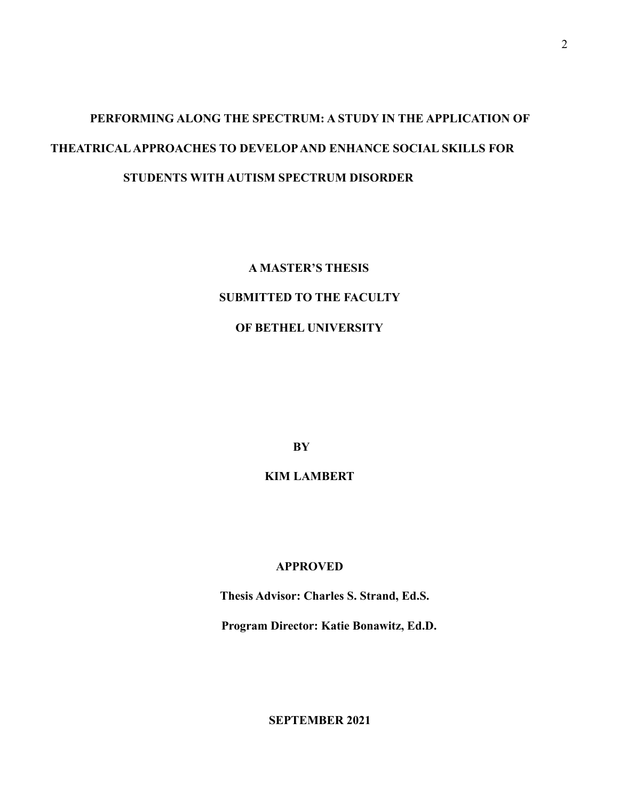# **PERFORMING ALONG THE SPECTRUM: A STUDY IN THE APPLICATION OF THEATRICAL APPROACHES TO DEVELOP AND ENHANCE SOCIAL SKILLS FOR STUDENTS WITH AUTISM SPECTRUM DISORDER**

**A MASTER'S THESIS SUBMITTED TO THE FACULTY OF BETHEL UNIVERSITY** 

 **BY** 

**KIM LAMBERT** 

## **APPROVED**

 **Thesis Advisor: Charles S. Strand, Ed.S.** 

 **Program Director: Katie Bonawitz, Ed.D.** 

**SEPTEMBER 2021**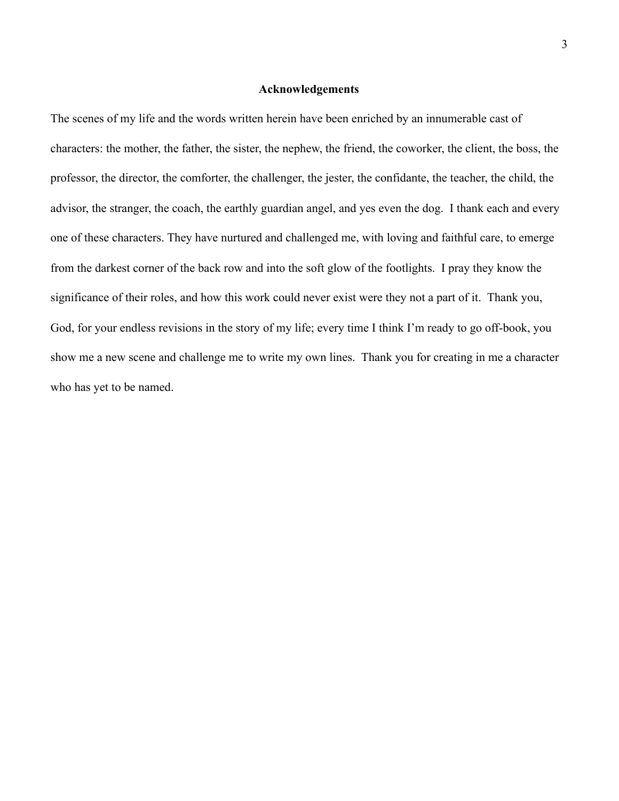## **Acknowledgements**

The scenes of my life and the words written herein have been enriched by an innumerable cast of characters: the mother, the father, the sister, the nephew, the friend, the coworker, the client, the boss, the professor, the director, the comforter, the challenger, the jester, the confidante, the teacher, the child, the advisor, the stranger, the coach, the earthly guardian angel, and yes even the dog. I thank each and every one of these characters. They have nurtured and challenged me, with loving and faithful care, to emerge from the darkest corner of the back row and into the soft glow of the footlights. I pray they know the significance of their roles, and how this work could never exist were they not a part of it. Thank you, God, for your endless revisions in the story of my life; every time I think I'm ready to go off-book, you show me a new scene and challenge me to write my own lines. Thank you for creating in me a character who has yet to be named.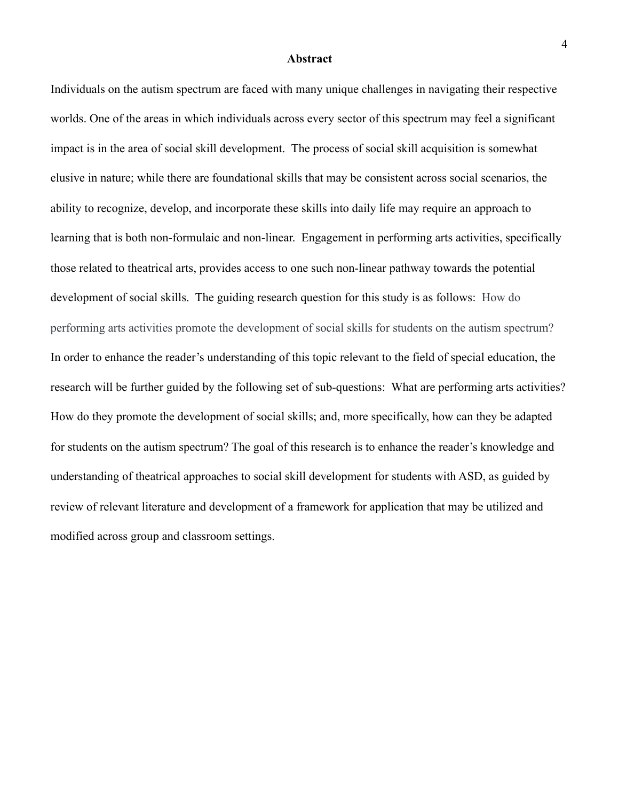#### **Abstract**

Individuals on the autism spectrum are faced with many unique challenges in navigating their respective worlds. One of the areas in which individuals across every sector of this spectrum may feel a significant impact is in the area of social skill development. The process of social skill acquisition is somewhat elusive in nature; while there are foundational skills that may be consistent across social scenarios, the ability to recognize, develop, and incorporate these skills into daily life may require an approach to learning that is both non-formulaic and non-linear. Engagement in performing arts activities, specifically those related to theatrical arts, provides access to one such non-linear pathway towards the potential development of social skills. The guiding research question for this study is as follows: How do performing arts activities promote the development of social skills for students on the autism spectrum? In order to enhance the reader's understanding of this topic relevant to the field of special education, the research will be further guided by the following set of sub-questions: What are performing arts activities? How do they promote the development of social skills; and, more specifically, how can they be adapted for students on the autism spectrum? The goal of this research is to enhance the reader's knowledge and understanding of theatrical approaches to social skill development for students with ASD, as guided by review of relevant literature and development of a framework for application that may be utilized and modified across group and classroom settings.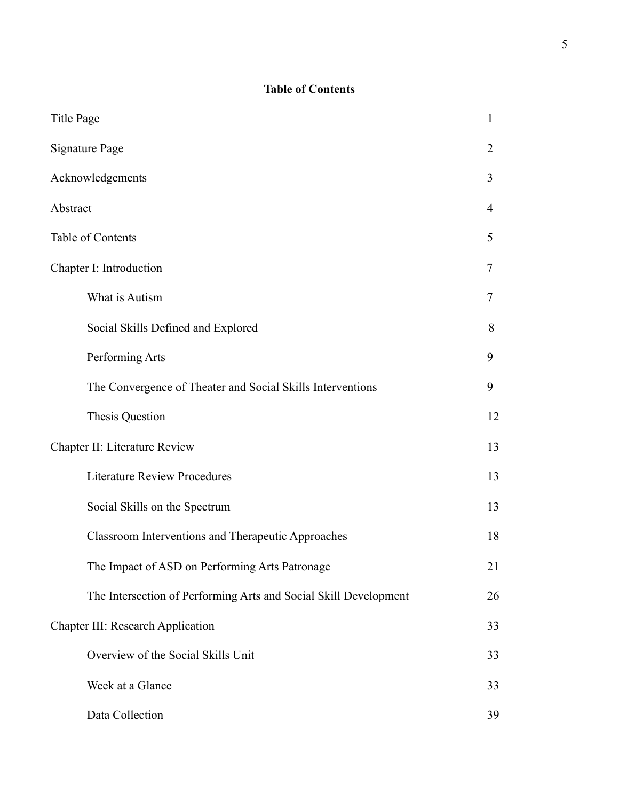## **Table of Contents**

| <b>Title Page</b>                                                |    |  |  |
|------------------------------------------------------------------|----|--|--|
| <b>Signature Page</b>                                            |    |  |  |
| Acknowledgements                                                 |    |  |  |
| Abstract                                                         | 4  |  |  |
| Table of Contents                                                |    |  |  |
| Chapter I: Introduction                                          | 7  |  |  |
| What is Autism                                                   | 7  |  |  |
| Social Skills Defined and Explored                               | 8  |  |  |
| Performing Arts                                                  | 9  |  |  |
| The Convergence of Theater and Social Skills Interventions       | 9  |  |  |
| Thesis Question                                                  | 12 |  |  |
| Chapter II: Literature Review                                    | 13 |  |  |
| <b>Literature Review Procedures</b>                              | 13 |  |  |
| Social Skills on the Spectrum                                    | 13 |  |  |
| <b>Classroom Interventions and Therapeutic Approaches</b>        | 18 |  |  |
| The Impact of ASD on Performing Arts Patronage                   | 21 |  |  |
| The Intersection of Performing Arts and Social Skill Development | 26 |  |  |
| <b>Chapter III: Research Application</b>                         | 33 |  |  |
| Overview of the Social Skills Unit                               | 33 |  |  |
| Week at a Glance                                                 | 33 |  |  |
| Data Collection                                                  | 39 |  |  |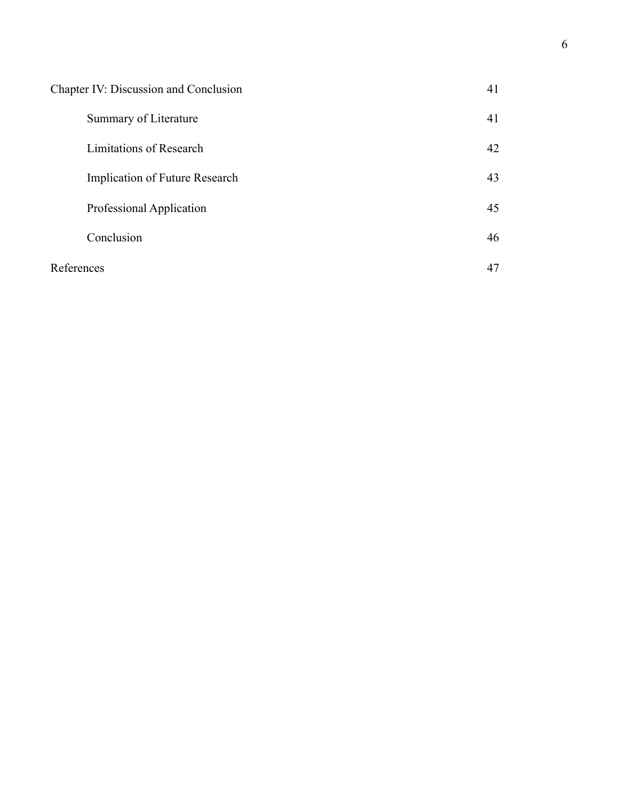| Chapter IV: Discussion and Conclusion |    |
|---------------------------------------|----|
| Summary of Literature                 | 41 |
| Limitations of Research               | 42 |
| Implication of Future Research        | 43 |
| Professional Application              | 45 |
| Conclusion                            | 46 |
| References                            | 47 |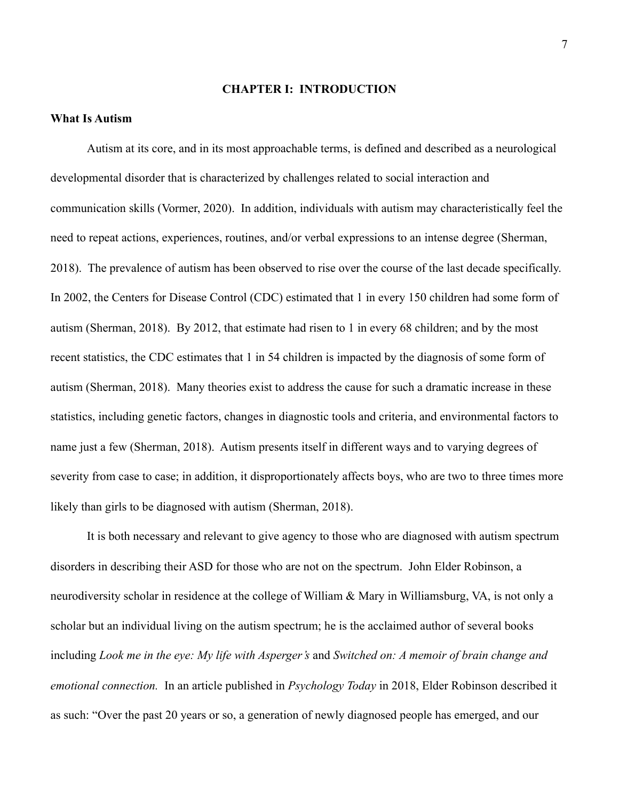## **CHAPTER I: INTRODUCTION**

### **What Is Autism**

Autism at its core, and in its most approachable terms, is defined and described as a neurological developmental disorder that is characterized by challenges related to social interaction and communication skills (Vormer, 2020). In addition, individuals with autism may characteristically feel the need to repeat actions, experiences, routines, and/or verbal expressions to an intense degree (Sherman, 2018). The prevalence of autism has been observed to rise over the course of the last decade specifically. In 2002, the Centers for Disease Control (CDC) estimated that 1 in every 150 children had some form of autism (Sherman, 2018). By 2012, that estimate had risen to 1 in every 68 children; and by the most recent statistics, the CDC estimates that 1 in 54 children is impacted by the diagnosis of some form of autism (Sherman, 2018). Many theories exist to address the cause for such a dramatic increase in these statistics, including genetic factors, changes in diagnostic tools and criteria, and environmental factors to name just a few (Sherman, 2018). Autism presents itself in different ways and to varying degrees of severity from case to case; in addition, it disproportionately affects boys, who are two to three times more likely than girls to be diagnosed with autism (Sherman, 2018).

It is both necessary and relevant to give agency to those who are diagnosed with autism spectrum disorders in describing their ASD for those who are not on the spectrum. John Elder Robinson, a neurodiversity scholar in residence at the college of William & Mary in Williamsburg, VA, is not only a scholar but an individual living on the autism spectrum; he is the acclaimed author of several books including *Look me in the eye: My life with Asperger's* and *Switched on: A memoir of brain change and emotional connection.* In an article published in *Psychology Today* in 2018, Elder Robinson described it as such: "Over the past 20 years or so, a generation of newly diagnosed people has emerged, and our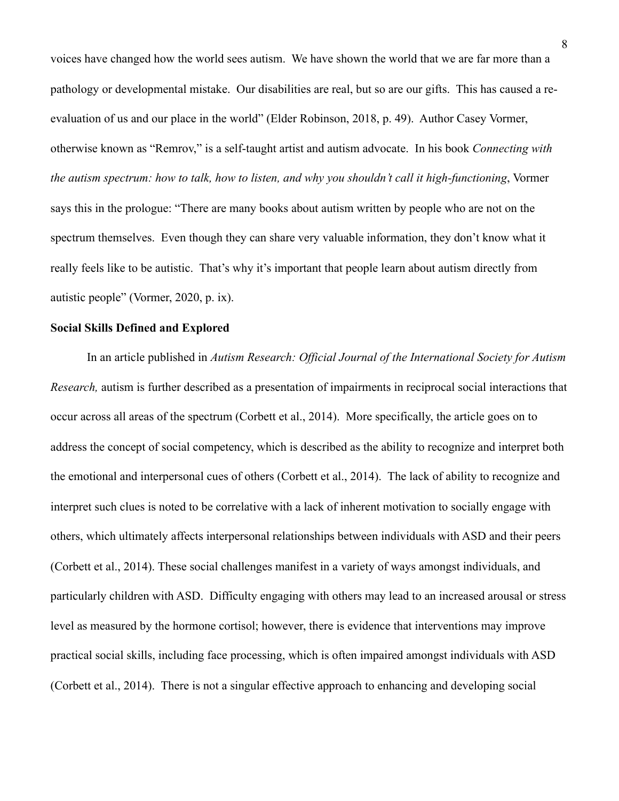voices have changed how the world sees autism. We have shown the world that we are far more than a pathology or developmental mistake. Our disabilities are real, but so are our gifts. This has caused a reevaluation of us and our place in the world" (Elder Robinson, 2018, p. 49). Author Casey Vormer, otherwise known as "Remrov," is a self-taught artist and autism advocate. In his book *Connecting with the autism spectrum: how to talk, how to listen, and why you shouldn't call it high-functioning*, Vormer says this in the prologue: "There are many books about autism written by people who are not on the spectrum themselves. Even though they can share very valuable information, they don't know what it really feels like to be autistic. That's why it's important that people learn about autism directly from autistic people" (Vormer, 2020, p. ix).

## **Social Skills Defined and Explored**

In an article published in *Autism Research: Official Journal of the International Society for Autism Research,* autism is further described as a presentation of impairments in reciprocal social interactions that occur across all areas of the spectrum (Corbett et al., 2014). More specifically, the article goes on to address the concept of social competency, which is described as the ability to recognize and interpret both the emotional and interpersonal cues of others (Corbett et al., 2014). The lack of ability to recognize and interpret such clues is noted to be correlative with a lack of inherent motivation to socially engage with others, which ultimately affects interpersonal relationships between individuals with ASD and their peers (Corbett et al., 2014). These social challenges manifest in a variety of ways amongst individuals, and particularly children with ASD. Difficulty engaging with others may lead to an increased arousal or stress level as measured by the hormone cortisol; however, there is evidence that interventions may improve practical social skills, including face processing, which is often impaired amongst individuals with ASD (Corbett et al., 2014). There is not a singular effective approach to enhancing and developing social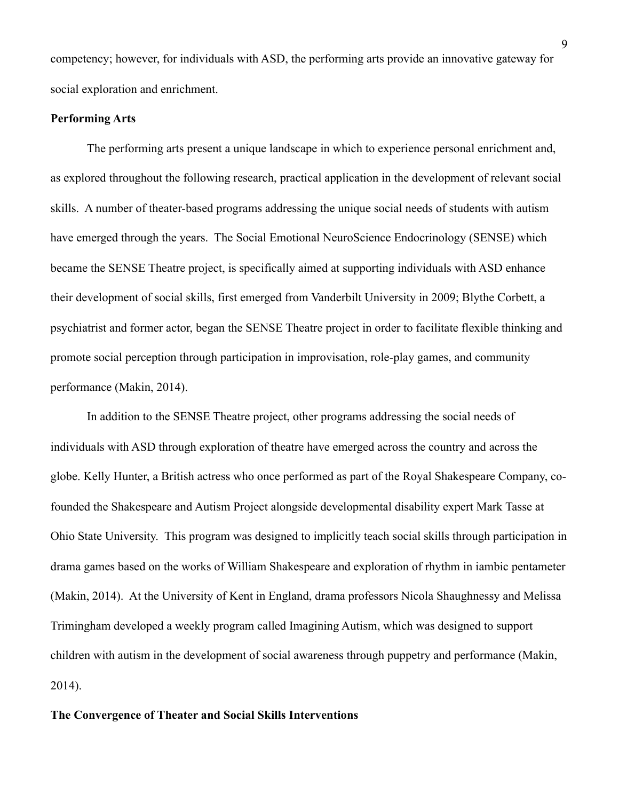competency; however, for individuals with ASD, the performing arts provide an innovative gateway for social exploration and enrichment.

#### **Performing Arts**

The performing arts present a unique landscape in which to experience personal enrichment and, as explored throughout the following research, practical application in the development of relevant social skills. A number of theater-based programs addressing the unique social needs of students with autism have emerged through the years. The Social Emotional NeuroScience Endocrinology (SENSE) which became the SENSE Theatre project, is specifically aimed at supporting individuals with ASD enhance their development of social skills, first emerged from Vanderbilt University in 2009; Blythe Corbett, a psychiatrist and former actor, began the SENSE Theatre project in order to facilitate flexible thinking and promote social perception through participation in improvisation, role-play games, and community performance (Makin, 2014).

In addition to the SENSE Theatre project, other programs addressing the social needs of individuals with ASD through exploration of theatre have emerged across the country and across the globe. Kelly Hunter, a British actress who once performed as part of the Royal Shakespeare Company, cofounded the Shakespeare and Autism Project alongside developmental disability expert Mark Tasse at Ohio State University. This program was designed to implicitly teach social skills through participation in drama games based on the works of William Shakespeare and exploration of rhythm in iambic pentameter (Makin, 2014). At the University of Kent in England, drama professors Nicola Shaughnessy and Melissa Trimingham developed a weekly program called Imagining Autism, which was designed to support children with autism in the development of social awareness through puppetry and performance (Makin, 2014).

## **The Convergence of Theater and Social Skills Interventions**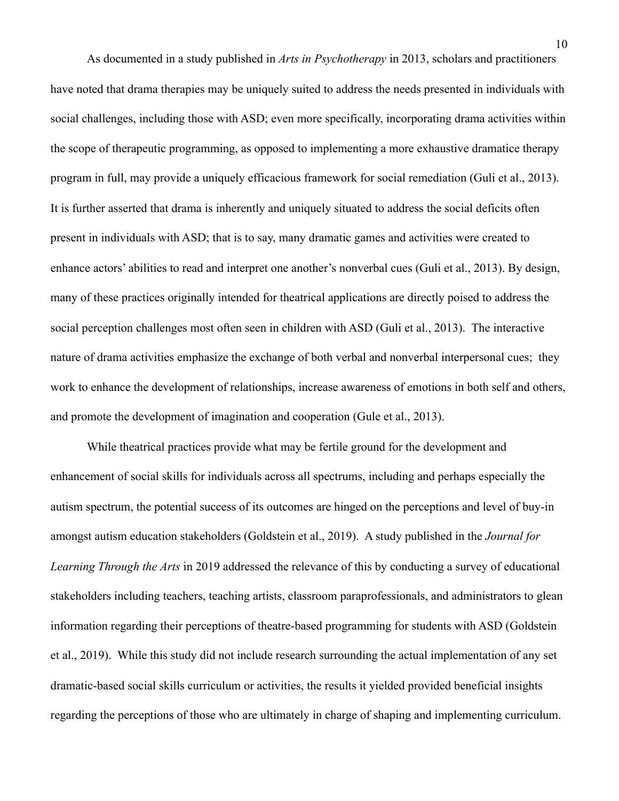As documented in a study published in *Arts in Psychotherapy* in 2013, scholars and practitioners have noted that drama therapies may be uniquely suited to address the needs presented in individuals with social challenges, including those with ASD; even more specifically, incorporating drama activities within the scope of therapeutic programming, as opposed to implementing a more exhaustive dramatice therapy program in full, may provide a uniquely efficacious framework for social remediation (Guli et al., 2013). It is further asserted that drama is inherently and uniquely situated to address the social deficits often present in individuals with ASD; that is to say, many dramatic games and activities were created to enhance actors' abilities to read and interpret one another's nonverbal cues (Guli et al., 2013). By design, many of these practices originally intended for theatrical applications are directly poised to address the social perception challenges most often seen in children with ASD (Guli et al., 2013). The interactive nature of drama activities emphasize the exchange of both verbal and nonverbal interpersonal cues; they work to enhance the development of relationships, increase awareness of emotions in both self and others, and promote the development of imagination and cooperation (Gule et al., 2013).

While theatrical practices provide what may be fertile ground for the development and enhancement of social skills for individuals across all spectrums, including and perhaps especially the autism spectrum, the potential success of its outcomes are hinged on the perceptions and level of buy-in amongst autism education stakeholders (Goldstein et al., 2019). A study published in the *Journal for Learning Through the Arts* in 2019 addressed the relevance of this by conducting a survey of educational stakeholders including teachers, teaching artists, classroom paraprofessionals, and administrators to glean information regarding their perceptions of theatre-based programming for students with ASD (Goldstein et al., 2019). While this study did not include research surrounding the actual implementation of any set dramatic-based social skills curriculum or activities, the results it yielded provided beneficial insights regarding the perceptions of those who are ultimately in charge of shaping and implementing curriculum.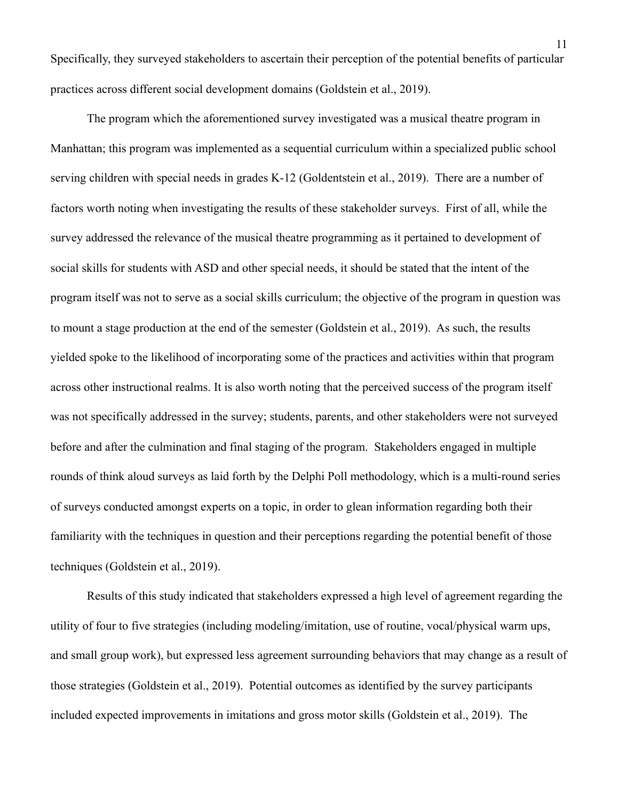Specifically, they surveyed stakeholders to ascertain their perception of the potential benefits of particular practices across different social development domains (Goldstein et al., 2019).

The program which the aforementioned survey investigated was a musical theatre program in Manhattan; this program was implemented as a sequential curriculum within a specialized public school serving children with special needs in grades K-12 (Goldentstein et al., 2019). There are a number of factors worth noting when investigating the results of these stakeholder surveys. First of all, while the survey addressed the relevance of the musical theatre programming as it pertained to development of social skills for students with ASD and other special needs, it should be stated that the intent of the program itself was not to serve as a social skills curriculum; the objective of the program in question was to mount a stage production at the end of the semester (Goldstein et al., 2019). As such, the results yielded spoke to the likelihood of incorporating some of the practices and activities within that program across other instructional realms. It is also worth noting that the perceived success of the program itself was not specifically addressed in the survey; students, parents, and other stakeholders were not surveyed before and after the culmination and final staging of the program. Stakeholders engaged in multiple rounds of think aloud surveys as laid forth by the Delphi Poll methodology, which is a multi-round series of surveys conducted amongst experts on a topic, in order to glean information regarding both their familiarity with the techniques in question and their perceptions regarding the potential benefit of those techniques (Goldstein et al., 2019).

Results of this study indicated that stakeholders expressed a high level of agreement regarding the utility of four to five strategies (including modeling/imitation, use of routine, vocal/physical warm ups, and small group work), but expressed less agreement surrounding behaviors that may change as a result of those strategies (Goldstein et al., 2019). Potential outcomes as identified by the survey participants included expected improvements in imitations and gross motor skills (Goldstein et al., 2019). The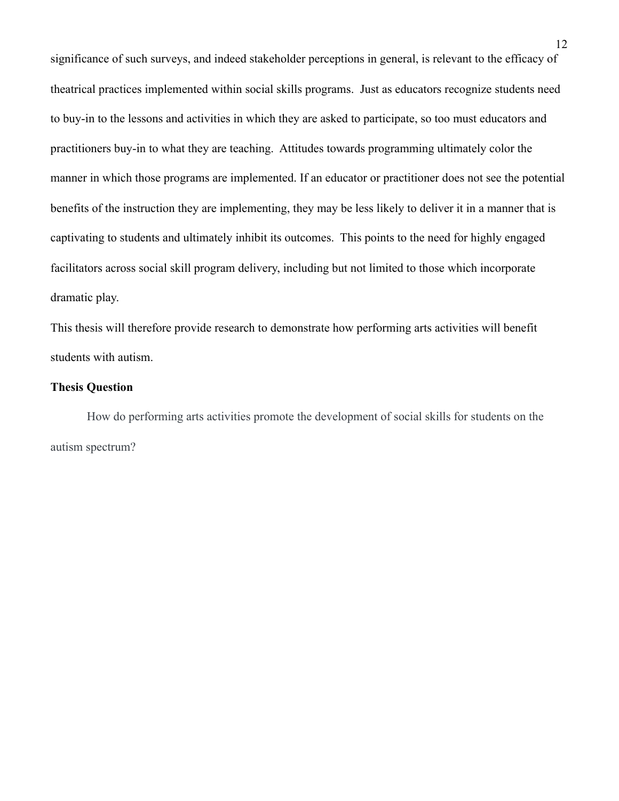significance of such surveys, and indeed stakeholder perceptions in general, is relevant to the efficacy of theatrical practices implemented within social skills programs. Just as educators recognize students need to buy-in to the lessons and activities in which they are asked to participate, so too must educators and practitioners buy-in to what they are teaching. Attitudes towards programming ultimately color the manner in which those programs are implemented. If an educator or practitioner does not see the potential benefits of the instruction they are implementing, they may be less likely to deliver it in a manner that is captivating to students and ultimately inhibit its outcomes. This points to the need for highly engaged facilitators across social skill program delivery, including but not limited to those which incorporate dramatic play.

This thesis will therefore provide research to demonstrate how performing arts activities will benefit students with autism.

## **Thesis Question**

How do performing arts activities promote the development of social skills for students on the autism spectrum?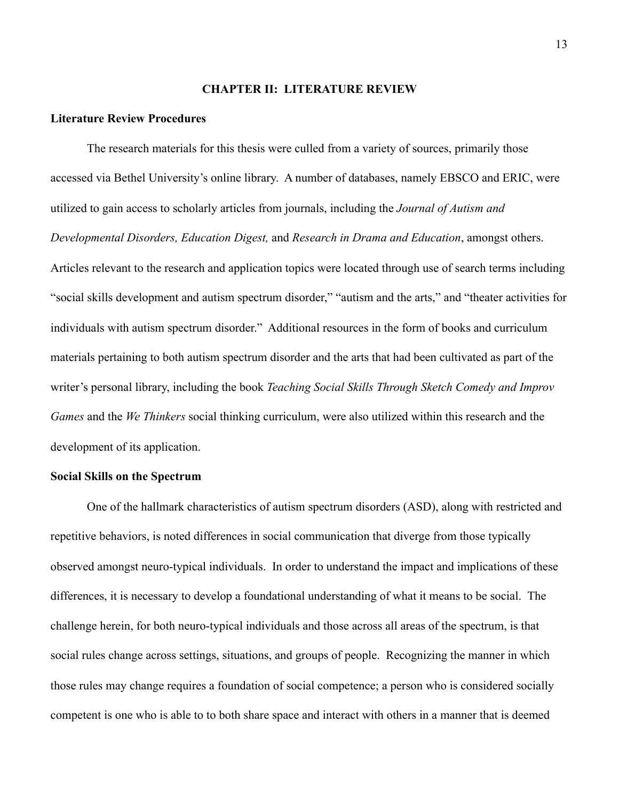## **CHAPTER II: LITERATURE REVIEW**

## **Literature Review Procedures**

The research materials for this thesis were culled from a variety of sources, primarily those accessed via Bethel University's online library. A number of databases, namely EBSCO and ERIC, were utilized to gain access to scholarly articles from journals, including the *Journal of Autism and Developmental Disorders, Education Digest,* and *Research in Drama and Education*, amongst others. Articles relevant to the research and application topics were located through use of search terms including "social skills development and autism spectrum disorder," "autism and the arts," and "theater activities for individuals with autism spectrum disorder." Additional resources in the form of books and curriculum materials pertaining to both autism spectrum disorder and the arts that had been cultivated as part of the writer's personal library, including the book *Teaching Social Skills Through Sketch Comedy and Improv Games* and the *We Thinkers* social thinking curriculum, were also utilized within this research and the development of its application.

### **Social Skills on the Spectrum**

One of the hallmark characteristics of autism spectrum disorders (ASD), along with restricted and repetitive behaviors, is noted differences in social communication that diverge from those typically observed amongst neuro-typical individuals. In order to understand the impact and implications of these differences, it is necessary to develop a foundational understanding of what it means to be social. The challenge herein, for both neuro-typical individuals and those across all areas of the spectrum, is that social rules change across settings, situations, and groups of people. Recognizing the manner in which those rules may change requires a foundation of social competence; a person who is considered socially competent is one who is able to to both share space and interact with others in a manner that is deemed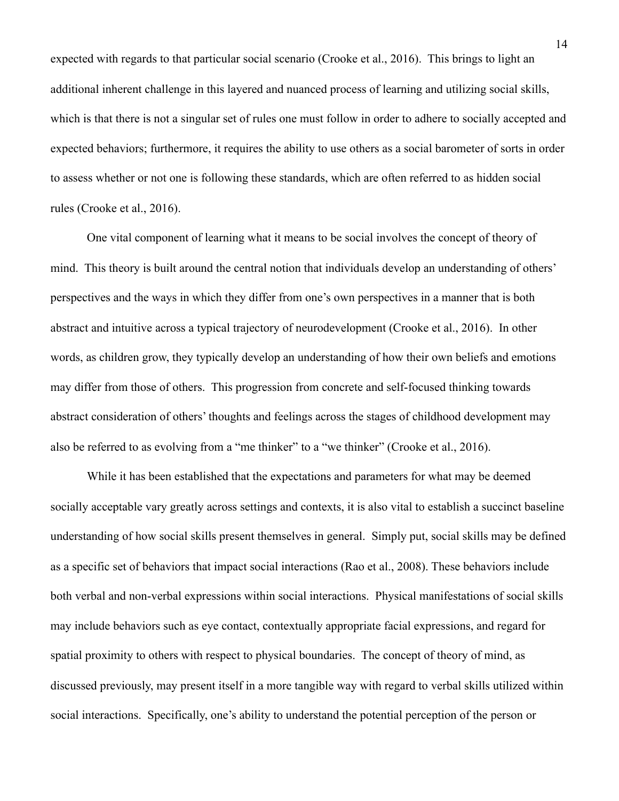expected with regards to that particular social scenario (Crooke et al., 2016). This brings to light an additional inherent challenge in this layered and nuanced process of learning and utilizing social skills, which is that there is not a singular set of rules one must follow in order to adhere to socially accepted and expected behaviors; furthermore, it requires the ability to use others as a social barometer of sorts in order to assess whether or not one is following these standards, which are often referred to as hidden social rules (Crooke et al., 2016).

 One vital component of learning what it means to be social involves the concept of theory of mind. This theory is built around the central notion that individuals develop an understanding of others' perspectives and the ways in which they differ from one's own perspectives in a manner that is both abstract and intuitive across a typical trajectory of neurodevelopment (Crooke et al., 2016). In other words, as children grow, they typically develop an understanding of how their own beliefs and emotions may differ from those of others. This progression from concrete and self-focused thinking towards abstract consideration of others' thoughts and feelings across the stages of childhood development may also be referred to as evolving from a "me thinker" to a "we thinker" (Crooke et al., 2016).

While it has been established that the expectations and parameters for what may be deemed socially acceptable vary greatly across settings and contexts, it is also vital to establish a succinct baseline understanding of how social skills present themselves in general. Simply put, social skills may be defined as a specific set of behaviors that impact social interactions (Rao et al., 2008). These behaviors include both verbal and non-verbal expressions within social interactions. Physical manifestations of social skills may include behaviors such as eye contact, contextually appropriate facial expressions, and regard for spatial proximity to others with respect to physical boundaries. The concept of theory of mind, as discussed previously, may present itself in a more tangible way with regard to verbal skills utilized within social interactions. Specifically, one's ability to understand the potential perception of the person or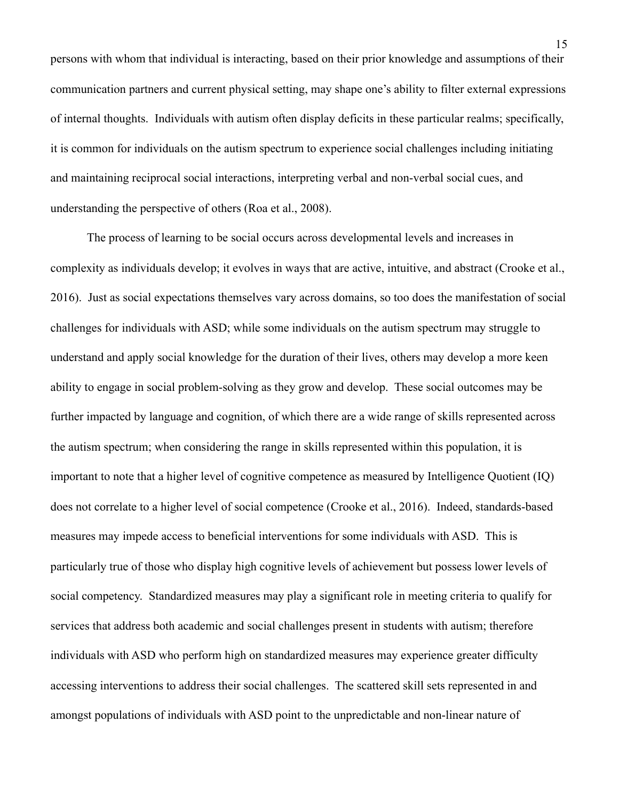persons with whom that individual is interacting, based on their prior knowledge and assumptions of their communication partners and current physical setting, may shape one's ability to filter external expressions of internal thoughts. Individuals with autism often display deficits in these particular realms; specifically, it is common for individuals on the autism spectrum to experience social challenges including initiating and maintaining reciprocal social interactions, interpreting verbal and non-verbal social cues, and understanding the perspective of others (Roa et al., 2008).

The process of learning to be social occurs across developmental levels and increases in complexity as individuals develop; it evolves in ways that are active, intuitive, and abstract (Crooke et al., 2016). Just as social expectations themselves vary across domains, so too does the manifestation of social challenges for individuals with ASD; while some individuals on the autism spectrum may struggle to understand and apply social knowledge for the duration of their lives, others may develop a more keen ability to engage in social problem-solving as they grow and develop. These social outcomes may be further impacted by language and cognition, of which there are a wide range of skills represented across the autism spectrum; when considering the range in skills represented within this population, it is important to note that a higher level of cognitive competence as measured by Intelligence Quotient (IQ) does not correlate to a higher level of social competence (Crooke et al., 2016). Indeed, standards-based measures may impede access to beneficial interventions for some individuals with ASD. This is particularly true of those who display high cognitive levels of achievement but possess lower levels of social competency. Standardized measures may play a significant role in meeting criteria to qualify for services that address both academic and social challenges present in students with autism; therefore individuals with ASD who perform high on standardized measures may experience greater difficulty accessing interventions to address their social challenges. The scattered skill sets represented in and amongst populations of individuals with ASD point to the unpredictable and non-linear nature of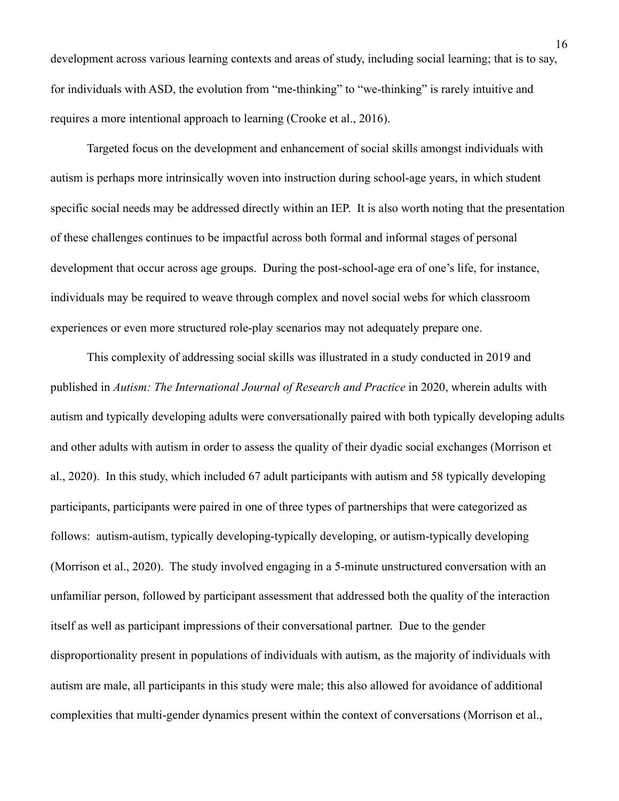development across various learning contexts and areas of study, including social learning; that is to say, for individuals with ASD, the evolution from "me-thinking" to "we-thinking" is rarely intuitive and requires a more intentional approach to learning (Crooke et al., 2016).

Targeted focus on the development and enhancement of social skills amongst individuals with autism is perhaps more intrinsically woven into instruction during school-age years, in which student specific social needs may be addressed directly within an IEP. It is also worth noting that the presentation of these challenges continues to be impactful across both formal and informal stages of personal development that occur across age groups. During the post-school-age era of one's life, for instance, individuals may be required to weave through complex and novel social webs for which classroom experiences or even more structured role-play scenarios may not adequately prepare one.

This complexity of addressing social skills was illustrated in a study conducted in 2019 and published in *Autism: The International Journal of Research and Practice* in 2020, wherein adults with autism and typically developing adults were conversationally paired with both typically developing adults and other adults with autism in order to assess the quality of their dyadic social exchanges (Morrison et al., 2020). In this study, which included 67 adult participants with autism and 58 typically developing participants, participants were paired in one of three types of partnerships that were categorized as follows: autism-autism, typically developing-typically developing, or autism-typically developing (Morrison et al., 2020). The study involved engaging in a 5-minute unstructured conversation with an unfamiliar person, followed by participant assessment that addressed both the quality of the interaction itself as well as participant impressions of their conversational partner. Due to the gender disproportionality present in populations of individuals with autism, as the majority of individuals with autism are male, all participants in this study were male; this also allowed for avoidance of additional complexities that multi-gender dynamics present within the context of conversations (Morrison et al.,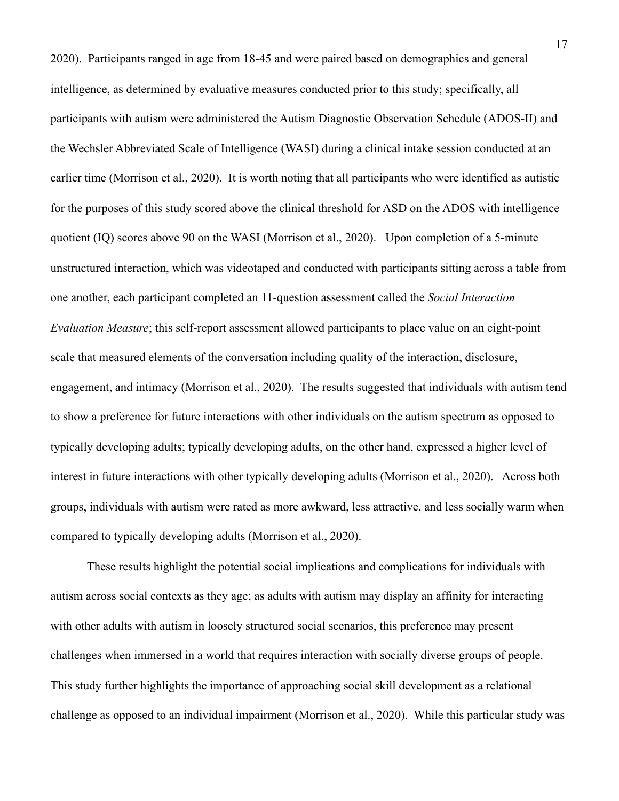2020). Participants ranged in age from 18-45 and were paired based on demographics and general intelligence, as determined by evaluative measures conducted prior to this study; specifically, all participants with autism were administered the Autism Diagnostic Observation Schedule (ADOS-II) and the Wechsler Abbreviated Scale of Intelligence (WASI) during a clinical intake session conducted at an earlier time (Morrison et al., 2020). It is worth noting that all participants who were identified as autistic for the purposes of this study scored above the clinical threshold for ASD on the ADOS with intelligence quotient (IQ) scores above 90 on the WASI (Morrison et al., 2020). Upon completion of a 5-minute unstructured interaction, which was videotaped and conducted with participants sitting across a table from one another, each participant completed an 11-question assessment called the *Social Interaction Evaluation Measure*; this self-report assessment allowed participants to place value on an eight-point scale that measured elements of the conversation including quality of the interaction, disclosure, engagement, and intimacy (Morrison et al., 2020). The results suggested that individuals with autism tend to show a preference for future interactions with other individuals on the autism spectrum as opposed to typically developing adults; typically developing adults, on the other hand, expressed a higher level of interest in future interactions with other typically developing adults (Morrison et al., 2020). Across both groups, individuals with autism were rated as more awkward, less attractive, and less socially warm when compared to typically developing adults (Morrison et al., 2020).

These results highlight the potential social implications and complications for individuals with autism across social contexts as they age; as adults with autism may display an affinity for interacting with other adults with autism in loosely structured social scenarios, this preference may present challenges when immersed in a world that requires interaction with socially diverse groups of people. This study further highlights the importance of approaching social skill development as a relational challenge as opposed to an individual impairment (Morrison et al., 2020). While this particular study was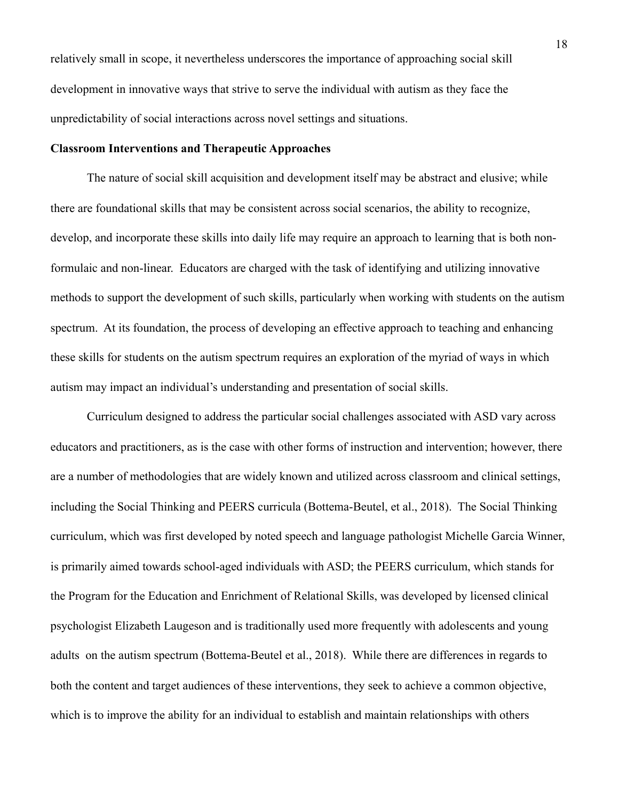relatively small in scope, it nevertheless underscores the importance of approaching social skill development in innovative ways that strive to serve the individual with autism as they face the unpredictability of social interactions across novel settings and situations.

#### **Classroom Interventions and Therapeutic Approaches**

The nature of social skill acquisition and development itself may be abstract and elusive; while there are foundational skills that may be consistent across social scenarios, the ability to recognize, develop, and incorporate these skills into daily life may require an approach to learning that is both nonformulaic and non-linear. Educators are charged with the task of identifying and utilizing innovative methods to support the development of such skills, particularly when working with students on the autism spectrum. At its foundation, the process of developing an effective approach to teaching and enhancing these skills for students on the autism spectrum requires an exploration of the myriad of ways in which autism may impact an individual's understanding and presentation of social skills.

Curriculum designed to address the particular social challenges associated with ASD vary across educators and practitioners, as is the case with other forms of instruction and intervention; however, there are a number of methodologies that are widely known and utilized across classroom and clinical settings, including the Social Thinking and PEERS curricula (Bottema-Beutel, et al., 2018). The Social Thinking curriculum, which was first developed by noted speech and language pathologist Michelle Garcia Winner, is primarily aimed towards school-aged individuals with ASD; the PEERS curriculum, which stands for the Program for the Education and Enrichment of Relational Skills, was developed by licensed clinical psychologist Elizabeth Laugeson and is traditionally used more frequently with adolescents and young adults on the autism spectrum (Bottema-Beutel et al., 2018). While there are differences in regards to both the content and target audiences of these interventions, they seek to achieve a common objective, which is to improve the ability for an individual to establish and maintain relationships with others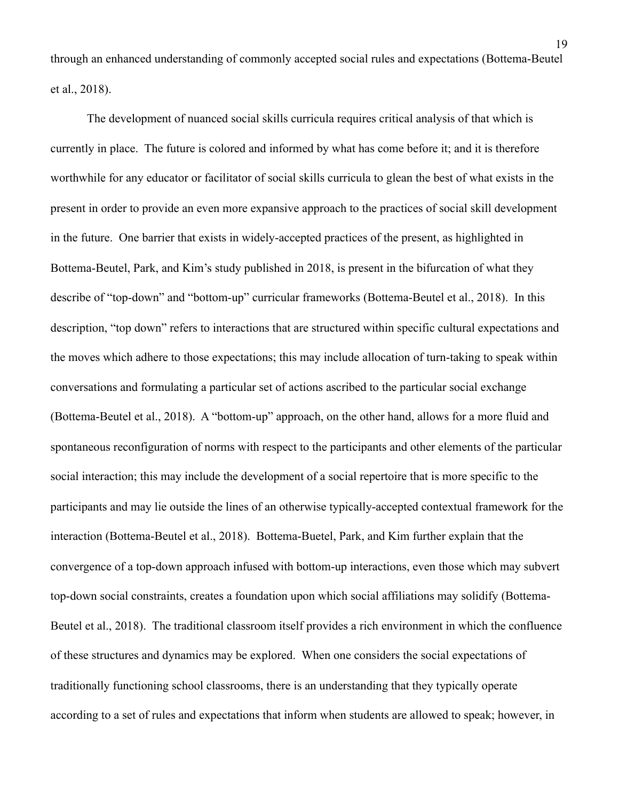through an enhanced understanding of commonly accepted social rules and expectations (Bottema-Beutel et al., 2018).

 The development of nuanced social skills curricula requires critical analysis of that which is currently in place. The future is colored and informed by what has come before it; and it is therefore worthwhile for any educator or facilitator of social skills curricula to glean the best of what exists in the present in order to provide an even more expansive approach to the practices of social skill development in the future. One barrier that exists in widely-accepted practices of the present, as highlighted in Bottema-Beutel, Park, and Kim's study published in 2018, is present in the bifurcation of what they describe of "top-down" and "bottom-up" curricular frameworks (Bottema-Beutel et al., 2018). In this description, "top down" refers to interactions that are structured within specific cultural expectations and the moves which adhere to those expectations; this may include allocation of turn-taking to speak within conversations and formulating a particular set of actions ascribed to the particular social exchange (Bottema-Beutel et al., 2018). A "bottom-up" approach, on the other hand, allows for a more fluid and spontaneous reconfiguration of norms with respect to the participants and other elements of the particular social interaction; this may include the development of a social repertoire that is more specific to the participants and may lie outside the lines of an otherwise typically-accepted contextual framework for the interaction (Bottema-Beutel et al., 2018). Bottema-Buetel, Park, and Kim further explain that the convergence of a top-down approach infused with bottom-up interactions, even those which may subvert top-down social constraints, creates a foundation upon which social affiliations may solidify (Bottema-Beutel et al., 2018). The traditional classroom itself provides a rich environment in which the confluence of these structures and dynamics may be explored. When one considers the social expectations of traditionally functioning school classrooms, there is an understanding that they typically operate according to a set of rules and expectations that inform when students are allowed to speak; however, in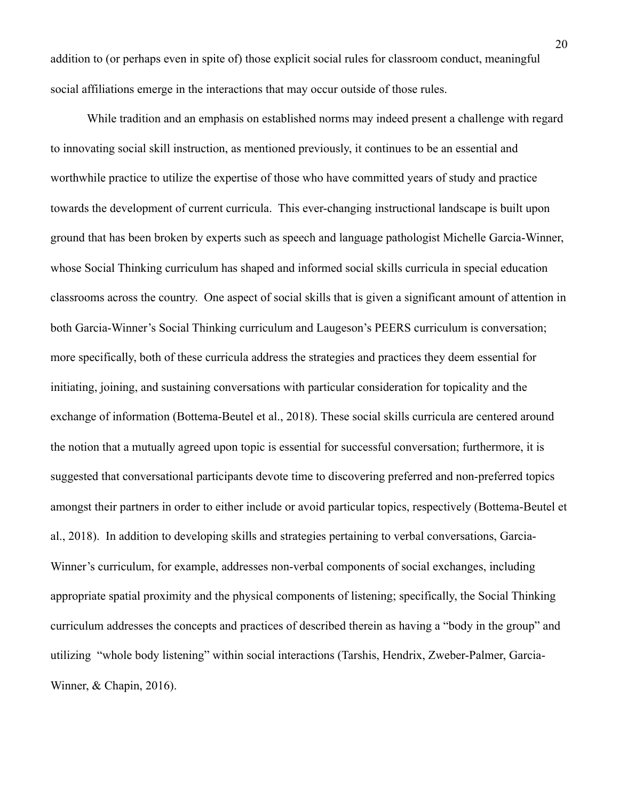addition to (or perhaps even in spite of) those explicit social rules for classroom conduct, meaningful social affiliations emerge in the interactions that may occur outside of those rules.

 While tradition and an emphasis on established norms may indeed present a challenge with regard to innovating social skill instruction, as mentioned previously, it continues to be an essential and worthwhile practice to utilize the expertise of those who have committed years of study and practice towards the development of current curricula. This ever-changing instructional landscape is built upon ground that has been broken by experts such as speech and language pathologist Michelle Garcia-Winner, whose Social Thinking curriculum has shaped and informed social skills curricula in special education classrooms across the country. One aspect of social skills that is given a significant amount of attention in both Garcia-Winner's Social Thinking curriculum and Laugeson's PEERS curriculum is conversation; more specifically, both of these curricula address the strategies and practices they deem essential for initiating, joining, and sustaining conversations with particular consideration for topicality and the exchange of information (Bottema-Beutel et al., 2018). These social skills curricula are centered around the notion that a mutually agreed upon topic is essential for successful conversation; furthermore, it is suggested that conversational participants devote time to discovering preferred and non-preferred topics amongst their partners in order to either include or avoid particular topics, respectively (Bottema-Beutel et al., 2018). In addition to developing skills and strategies pertaining to verbal conversations, Garcia-Winner's curriculum, for example, addresses non-verbal components of social exchanges, including appropriate spatial proximity and the physical components of listening; specifically, the Social Thinking curriculum addresses the concepts and practices of described therein as having a "body in the group" and utilizing "whole body listening" within social interactions (Tarshis, Hendrix, Zweber-Palmer, Garcia-Winner, & Chapin, 2016).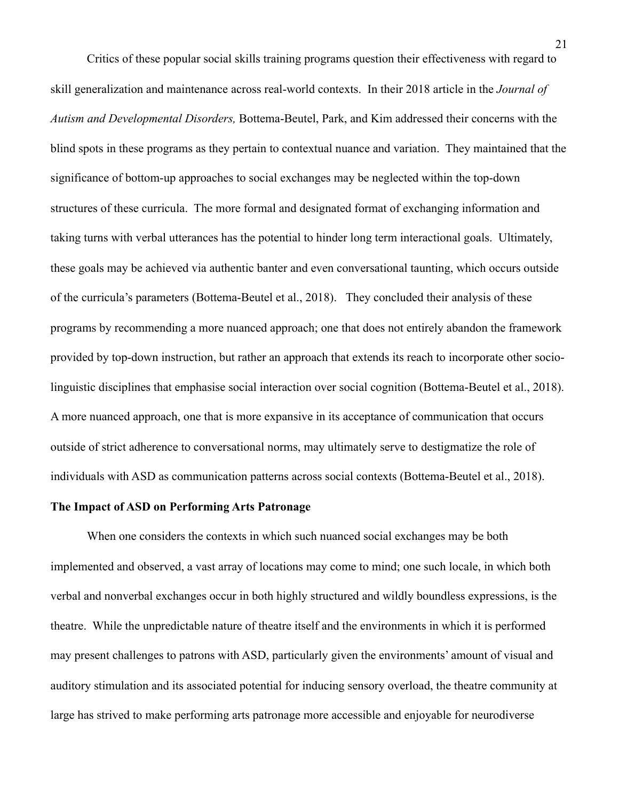Critics of these popular social skills training programs question their effectiveness with regard to skill generalization and maintenance across real-world contexts. In their 2018 article in the *Journal of Autism and Developmental Disorders,* Bottema-Beutel, Park, and Kim addressed their concerns with the blind spots in these programs as they pertain to contextual nuance and variation. They maintained that the significance of bottom-up approaches to social exchanges may be neglected within the top-down structures of these curricula. The more formal and designated format of exchanging information and taking turns with verbal utterances has the potential to hinder long term interactional goals. Ultimately, these goals may be achieved via authentic banter and even conversational taunting, which occurs outside of the curricula's parameters (Bottema-Beutel et al., 2018). They concluded their analysis of these programs by recommending a more nuanced approach; one that does not entirely abandon the framework provided by top-down instruction, but rather an approach that extends its reach to incorporate other sociolinguistic disciplines that emphasise social interaction over social cognition (Bottema-Beutel et al., 2018). A more nuanced approach, one that is more expansive in its acceptance of communication that occurs outside of strict adherence to conversational norms, may ultimately serve to destigmatize the role of individuals with ASD as communication patterns across social contexts (Bottema-Beutel et al., 2018).

## **The Impact of ASD on Performing Arts Patronage**

When one considers the contexts in which such nuanced social exchanges may be both implemented and observed, a vast array of locations may come to mind; one such locale, in which both verbal and nonverbal exchanges occur in both highly structured and wildly boundless expressions, is the theatre. While the unpredictable nature of theatre itself and the environments in which it is performed may present challenges to patrons with ASD, particularly given the environments' amount of visual and auditory stimulation and its associated potential for inducing sensory overload, the theatre community at large has strived to make performing arts patronage more accessible and enjoyable for neurodiverse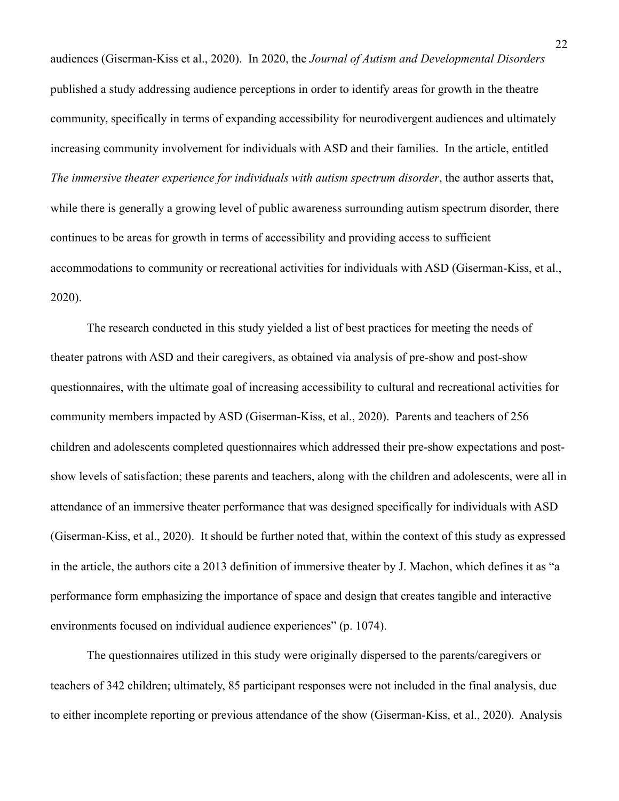audiences (Giserman-Kiss et al., 2020). In 2020, the *Journal of Autism and Developmental Disorders*  published a study addressing audience perceptions in order to identify areas for growth in the theatre community, specifically in terms of expanding accessibility for neurodivergent audiences and ultimately increasing community involvement for individuals with ASD and their families. In the article, entitled *The immersive theater experience for individuals with autism spectrum disorder*, the author asserts that, while there is generally a growing level of public awareness surrounding autism spectrum disorder, there continues to be areas for growth in terms of accessibility and providing access to sufficient accommodations to community or recreational activities for individuals with ASD (Giserman-Kiss, et al., 2020).

The research conducted in this study yielded a list of best practices for meeting the needs of theater patrons with ASD and their caregivers, as obtained via analysis of pre-show and post-show questionnaires, with the ultimate goal of increasing accessibility to cultural and recreational activities for community members impacted by ASD (Giserman-Kiss, et al., 2020). Parents and teachers of 256 children and adolescents completed questionnaires which addressed their pre-show expectations and postshow levels of satisfaction; these parents and teachers, along with the children and adolescents, were all in attendance of an immersive theater performance that was designed specifically for individuals with ASD (Giserman-Kiss, et al., 2020). It should be further noted that, within the context of this study as expressed in the article, the authors cite a 2013 definition of immersive theater by J. Machon, which defines it as "a performance form emphasizing the importance of space and design that creates tangible and interactive environments focused on individual audience experiences" (p. 1074).

The questionnaires utilized in this study were originally dispersed to the parents/caregivers or teachers of 342 children; ultimately, 85 participant responses were not included in the final analysis, due to either incomplete reporting or previous attendance of the show (Giserman-Kiss, et al., 2020). Analysis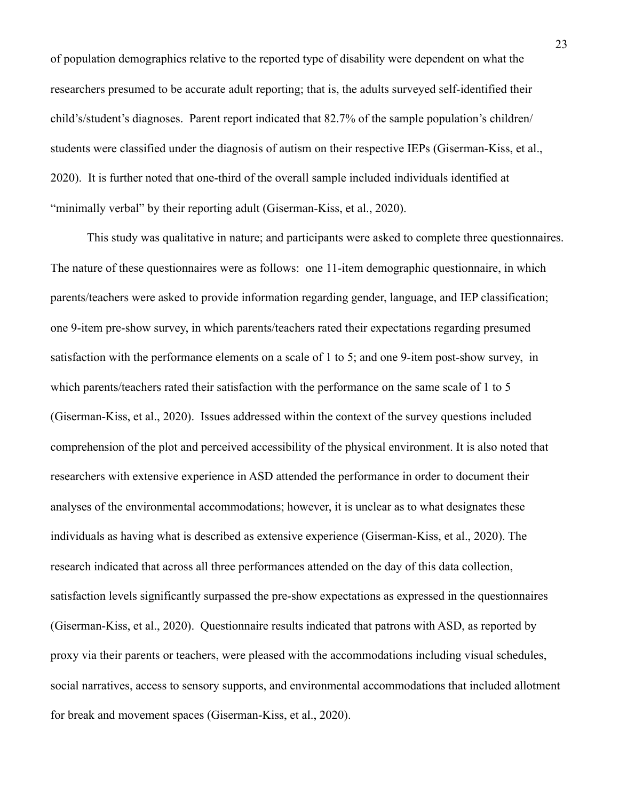of population demographics relative to the reported type of disability were dependent on what the researchers presumed to be accurate adult reporting; that is, the adults surveyed self-identified their child's/student's diagnoses. Parent report indicated that 82.7% of the sample population's children/ students were classified under the diagnosis of autism on their respective IEPs (Giserman-Kiss, et al., 2020). It is further noted that one-third of the overall sample included individuals identified at "minimally verbal" by their reporting adult (Giserman-Kiss, et al., 2020).

This study was qualitative in nature; and participants were asked to complete three questionnaires. The nature of these questionnaires were as follows: one 11-item demographic questionnaire, in which parents/teachers were asked to provide information regarding gender, language, and IEP classification; one 9-item pre-show survey, in which parents/teachers rated their expectations regarding presumed satisfaction with the performance elements on a scale of 1 to 5; and one 9-item post-show survey, in which parents/teachers rated their satisfaction with the performance on the same scale of 1 to 5 (Giserman-Kiss, et al., 2020). Issues addressed within the context of the survey questions included comprehension of the plot and perceived accessibility of the physical environment. It is also noted that researchers with extensive experience in ASD attended the performance in order to document their analyses of the environmental accommodations; however, it is unclear as to what designates these individuals as having what is described as extensive experience (Giserman-Kiss, et al., 2020). The research indicated that across all three performances attended on the day of this data collection, satisfaction levels significantly surpassed the pre-show expectations as expressed in the questionnaires (Giserman-Kiss, et al., 2020). Questionnaire results indicated that patrons with ASD, as reported by proxy via their parents or teachers, were pleased with the accommodations including visual schedules, social narratives, access to sensory supports, and environmental accommodations that included allotment for break and movement spaces (Giserman-Kiss, et al., 2020).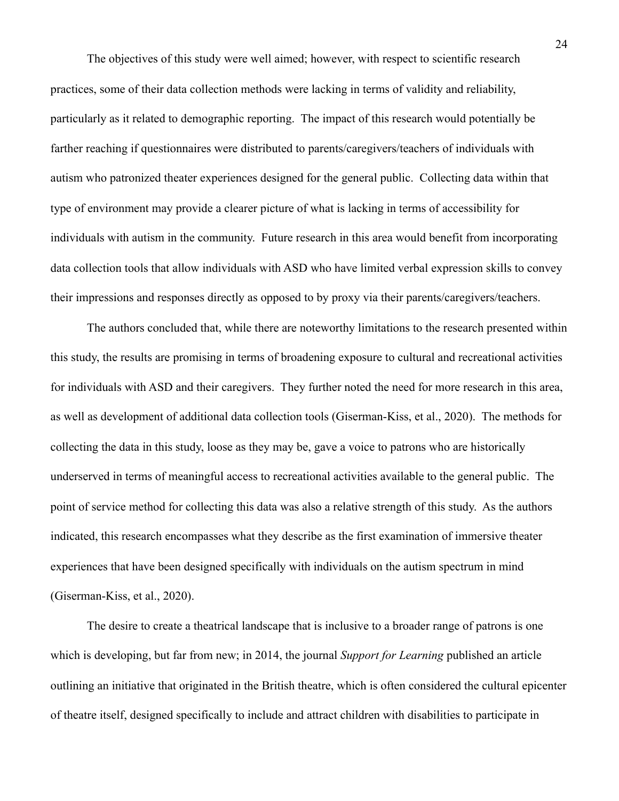The objectives of this study were well aimed; however, with respect to scientific research practices, some of their data collection methods were lacking in terms of validity and reliability, particularly as it related to demographic reporting. The impact of this research would potentially be farther reaching if questionnaires were distributed to parents/caregivers/teachers of individuals with autism who patronized theater experiences designed for the general public. Collecting data within that type of environment may provide a clearer picture of what is lacking in terms of accessibility for individuals with autism in the community. Future research in this area would benefit from incorporating data collection tools that allow individuals with ASD who have limited verbal expression skills to convey their impressions and responses directly as opposed to by proxy via their parents/caregivers/teachers.

The authors concluded that, while there are noteworthy limitations to the research presented within this study, the results are promising in terms of broadening exposure to cultural and recreational activities for individuals with ASD and their caregivers. They further noted the need for more research in this area, as well as development of additional data collection tools (Giserman-Kiss, et al., 2020). The methods for collecting the data in this study, loose as they may be, gave a voice to patrons who are historically underserved in terms of meaningful access to recreational activities available to the general public. The point of service method for collecting this data was also a relative strength of this study. As the authors indicated, this research encompasses what they describe as the first examination of immersive theater experiences that have been designed specifically with individuals on the autism spectrum in mind (Giserman-Kiss, et al., 2020).

The desire to create a theatrical landscape that is inclusive to a broader range of patrons is one which is developing, but far from new; in 2014, the journal *Support for Learning* published an article outlining an initiative that originated in the British theatre, which is often considered the cultural epicenter of theatre itself, designed specifically to include and attract children with disabilities to participate in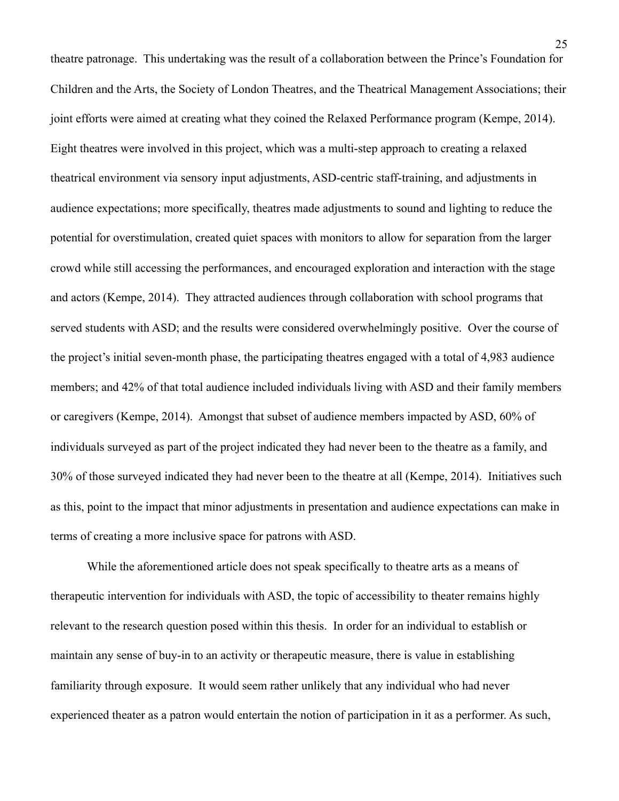theatre patronage. This undertaking was the result of a collaboration between the Prince's Foundation for Children and the Arts, the Society of London Theatres, and the Theatrical Management Associations; their joint efforts were aimed at creating what they coined the Relaxed Performance program (Kempe, 2014). Eight theatres were involved in this project, which was a multi-step approach to creating a relaxed theatrical environment via sensory input adjustments, ASD-centric staff-training, and adjustments in audience expectations; more specifically, theatres made adjustments to sound and lighting to reduce the potential for overstimulation, created quiet spaces with monitors to allow for separation from the larger crowd while still accessing the performances, and encouraged exploration and interaction with the stage and actors (Kempe, 2014). They attracted audiences through collaboration with school programs that served students with ASD; and the results were considered overwhelmingly positive. Over the course of the project's initial seven-month phase, the participating theatres engaged with a total of 4,983 audience members; and 42% of that total audience included individuals living with ASD and their family members or caregivers (Kempe, 2014). Amongst that subset of audience members impacted by ASD, 60% of individuals surveyed as part of the project indicated they had never been to the theatre as a family, and 30% of those surveyed indicated they had never been to the theatre at all (Kempe, 2014). Initiatives such as this, point to the impact that minor adjustments in presentation and audience expectations can make in terms of creating a more inclusive space for patrons with ASD.

While the aforementioned article does not speak specifically to theatre arts as a means of therapeutic intervention for individuals with ASD, the topic of accessibility to theater remains highly relevant to the research question posed within this thesis. In order for an individual to establish or maintain any sense of buy-in to an activity or therapeutic measure, there is value in establishing familiarity through exposure. It would seem rather unlikely that any individual who had never experienced theater as a patron would entertain the notion of participation in it as a performer. As such,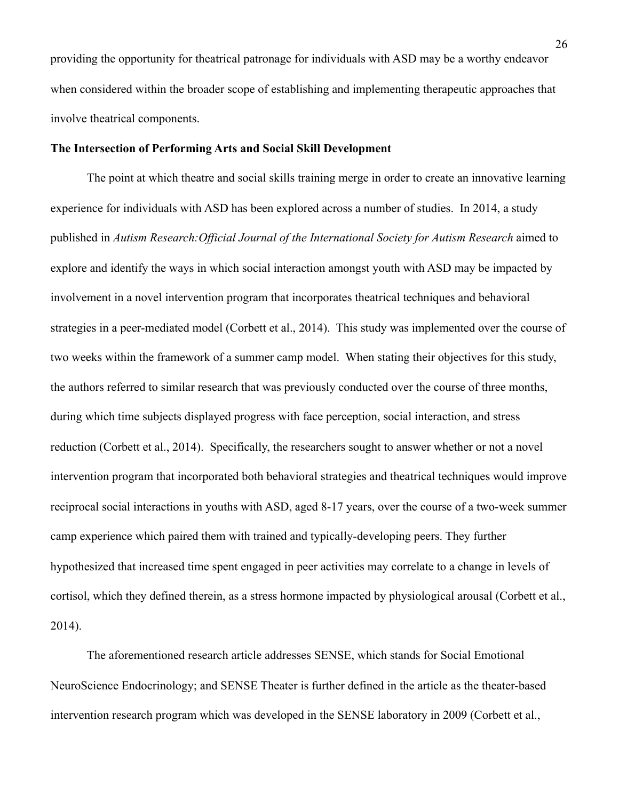providing the opportunity for theatrical patronage for individuals with ASD may be a worthy endeavor when considered within the broader scope of establishing and implementing therapeutic approaches that involve theatrical components.

#### **The Intersection of Performing Arts and Social Skill Development**

The point at which theatre and social skills training merge in order to create an innovative learning experience for individuals with ASD has been explored across a number of studies. In 2014, a study published in *Autism Research:Official Journal of the International Society for Autism Research* aimed to explore and identify the ways in which social interaction amongst youth with ASD may be impacted by involvement in a novel intervention program that incorporates theatrical techniques and behavioral strategies in a peer-mediated model (Corbett et al., 2014). This study was implemented over the course of two weeks within the framework of a summer camp model. When stating their objectives for this study, the authors referred to similar research that was previously conducted over the course of three months, during which time subjects displayed progress with face perception, social interaction, and stress reduction (Corbett et al., 2014). Specifically, the researchers sought to answer whether or not a novel intervention program that incorporated both behavioral strategies and theatrical techniques would improve reciprocal social interactions in youths with ASD, aged 8-17 years, over the course of a two-week summer camp experience which paired them with trained and typically-developing peers. They further hypothesized that increased time spent engaged in peer activities may correlate to a change in levels of cortisol, which they defined therein, as a stress hormone impacted by physiological arousal (Corbett et al., 2014).

 The aforementioned research article addresses SENSE, which stands for Social Emotional NeuroScience Endocrinology; and SENSE Theater is further defined in the article as the theater-based intervention research program which was developed in the SENSE laboratory in 2009 (Corbett et al.,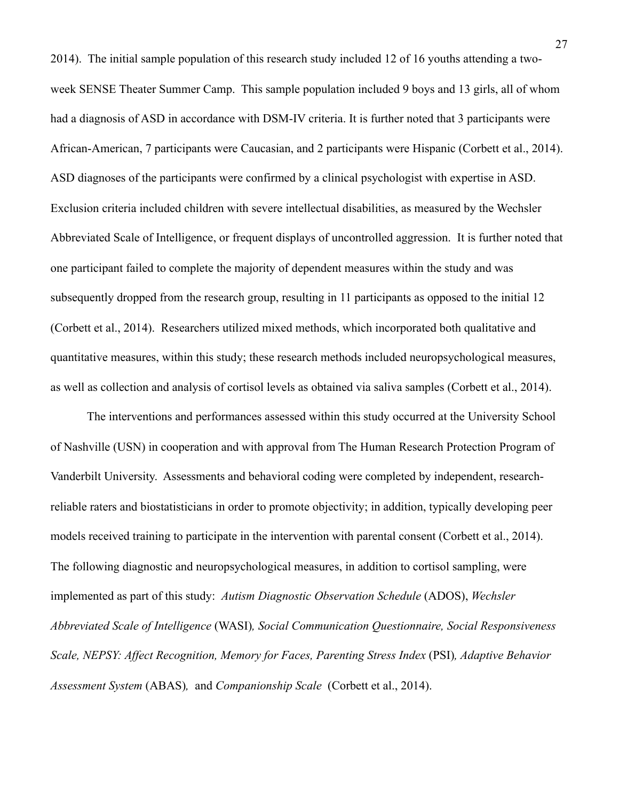2014). The initial sample population of this research study included 12 of 16 youths attending a twoweek SENSE Theater Summer Camp. This sample population included 9 boys and 13 girls, all of whom had a diagnosis of ASD in accordance with DSM-IV criteria. It is further noted that 3 participants were African-American, 7 participants were Caucasian, and 2 participants were Hispanic (Corbett et al., 2014). ASD diagnoses of the participants were confirmed by a clinical psychologist with expertise in ASD. Exclusion criteria included children with severe intellectual disabilities, as measured by the Wechsler Abbreviated Scale of Intelligence, or frequent displays of uncontrolled aggression. It is further noted that one participant failed to complete the majority of dependent measures within the study and was subsequently dropped from the research group, resulting in 11 participants as opposed to the initial 12 (Corbett et al., 2014). Researchers utilized mixed methods, which incorporated both qualitative and quantitative measures, within this study; these research methods included neuropsychological measures, as well as collection and analysis of cortisol levels as obtained via saliva samples (Corbett et al., 2014).

 The interventions and performances assessed within this study occurred at the University School of Nashville (USN) in cooperation and with approval from The Human Research Protection Program of Vanderbilt University. Assessments and behavioral coding were completed by independent, researchreliable raters and biostatisticians in order to promote objectivity; in addition, typically developing peer models received training to participate in the intervention with parental consent (Corbett et al., 2014). The following diagnostic and neuropsychological measures, in addition to cortisol sampling, were implemented as part of this study: *Autism Diagnostic Observation Schedule* (ADOS), *Wechsler Abbreviated Scale of Intelligence* (WASI)*, Social Communication Questionnaire, Social Responsiveness Scale, NEPSY: Affect Recognition, Memory for Faces, Parenting Stress Index* (PSI)*, Adaptive Behavior Assessment System* (ABAS)*,* and *Companionship Scale* (Corbett et al., 2014).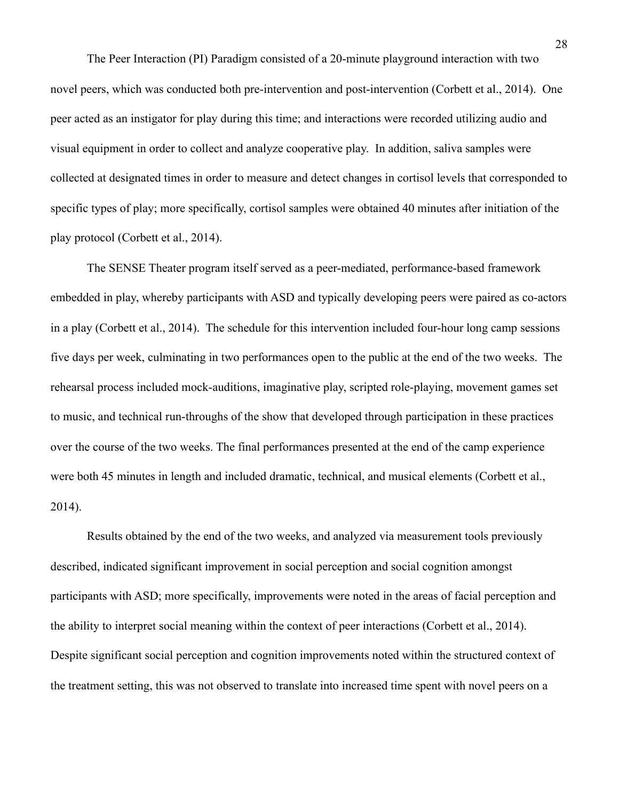The Peer Interaction (PI) Paradigm consisted of a 20-minute playground interaction with two novel peers, which was conducted both pre-intervention and post-intervention (Corbett et al., 2014). One peer acted as an instigator for play during this time; and interactions were recorded utilizing audio and visual equipment in order to collect and analyze cooperative play. In addition, saliva samples were collected at designated times in order to measure and detect changes in cortisol levels that corresponded to specific types of play; more specifically, cortisol samples were obtained 40 minutes after initiation of the play protocol (Corbett et al., 2014).

 The SENSE Theater program itself served as a peer-mediated, performance-based framework embedded in play, whereby participants with ASD and typically developing peers were paired as co-actors in a play (Corbett et al., 2014). The schedule for this intervention included four-hour long camp sessions five days per week, culminating in two performances open to the public at the end of the two weeks. The rehearsal process included mock-auditions, imaginative play, scripted role-playing, movement games set to music, and technical run-throughs of the show that developed through participation in these practices over the course of the two weeks. The final performances presented at the end of the camp experience were both 45 minutes in length and included dramatic, technical, and musical elements (Corbett et al., 2014).

 Results obtained by the end of the two weeks, and analyzed via measurement tools previously described, indicated significant improvement in social perception and social cognition amongst participants with ASD; more specifically, improvements were noted in the areas of facial perception and the ability to interpret social meaning within the context of peer interactions (Corbett et al., 2014). Despite significant social perception and cognition improvements noted within the structured context of the treatment setting, this was not observed to translate into increased time spent with novel peers on a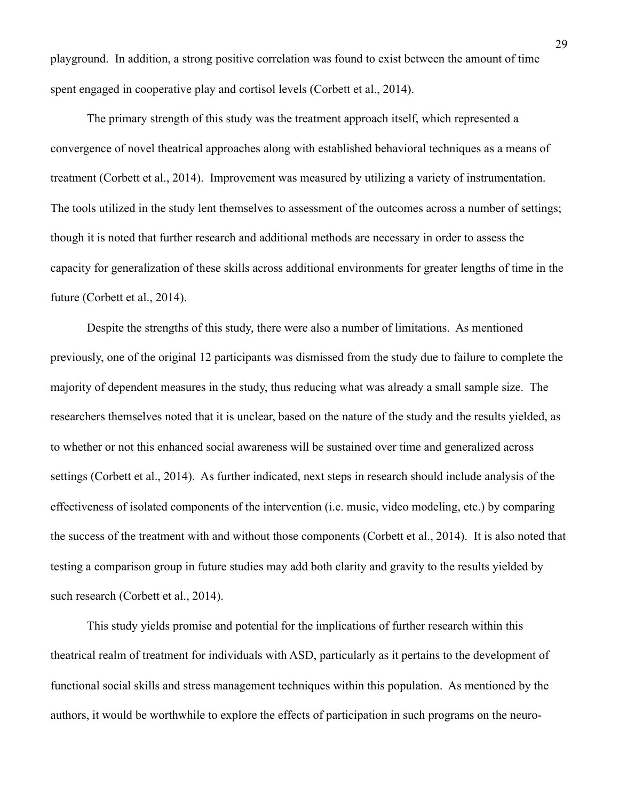playground. In addition, a strong positive correlation was found to exist between the amount of time spent engaged in cooperative play and cortisol levels (Corbett et al., 2014).

 The primary strength of this study was the treatment approach itself, which represented a convergence of novel theatrical approaches along with established behavioral techniques as a means of treatment (Corbett et al., 2014). Improvement was measured by utilizing a variety of instrumentation. The tools utilized in the study lent themselves to assessment of the outcomes across a number of settings; though it is noted that further research and additional methods are necessary in order to assess the capacity for generalization of these skills across additional environments for greater lengths of time in the future (Corbett et al., 2014).

 Despite the strengths of this study, there were also a number of limitations. As mentioned previously, one of the original 12 participants was dismissed from the study due to failure to complete the majority of dependent measures in the study, thus reducing what was already a small sample size. The researchers themselves noted that it is unclear, based on the nature of the study and the results yielded, as to whether or not this enhanced social awareness will be sustained over time and generalized across settings (Corbett et al., 2014). As further indicated, next steps in research should include analysis of the effectiveness of isolated components of the intervention (i.e. music, video modeling, etc.) by comparing the success of the treatment with and without those components (Corbett et al., 2014). It is also noted that testing a comparison group in future studies may add both clarity and gravity to the results yielded by such research (Corbett et al., 2014).

 This study yields promise and potential for the implications of further research within this theatrical realm of treatment for individuals with ASD, particularly as it pertains to the development of functional social skills and stress management techniques within this population. As mentioned by the authors, it would be worthwhile to explore the effects of participation in such programs on the neuro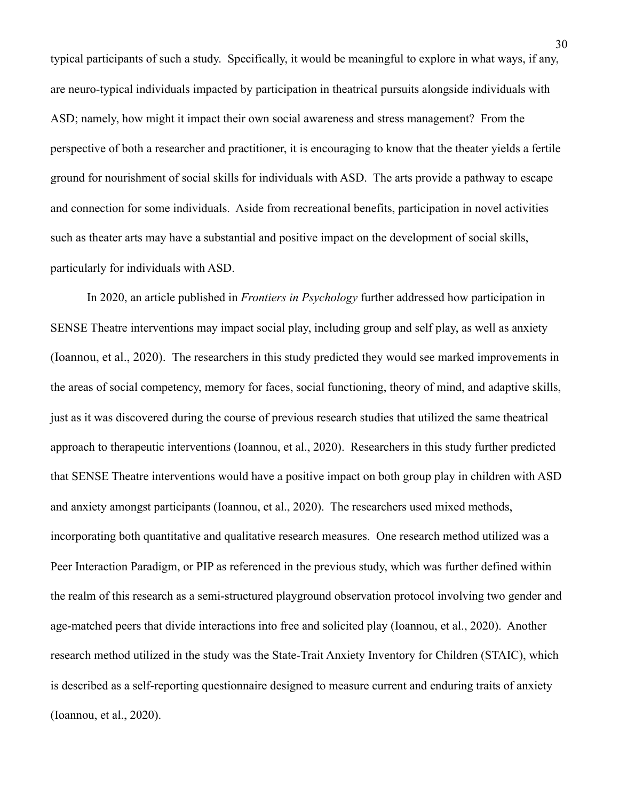typical participants of such a study. Specifically, it would be meaningful to explore in what ways, if any, are neuro-typical individuals impacted by participation in theatrical pursuits alongside individuals with ASD; namely, how might it impact their own social awareness and stress management? From the perspective of both a researcher and practitioner, it is encouraging to know that the theater yields a fertile ground for nourishment of social skills for individuals with ASD. The arts provide a pathway to escape and connection for some individuals. Aside from recreational benefits, participation in novel activities such as theater arts may have a substantial and positive impact on the development of social skills, particularly for individuals with ASD.

In 2020, an article published in *Frontiers in Psychology* further addressed how participation in SENSE Theatre interventions may impact social play, including group and self play, as well as anxiety (Ioannou, et al., 2020). The researchers in this study predicted they would see marked improvements in the areas of social competency, memory for faces, social functioning, theory of mind, and adaptive skills, just as it was discovered during the course of previous research studies that utilized the same theatrical approach to therapeutic interventions (Ioannou, et al., 2020). Researchers in this study further predicted that SENSE Theatre interventions would have a positive impact on both group play in children with ASD and anxiety amongst participants (Ioannou, et al., 2020). The researchers used mixed methods, incorporating both quantitative and qualitative research measures. One research method utilized was a Peer Interaction Paradigm, or PIP as referenced in the previous study, which was further defined within the realm of this research as a semi-structured playground observation protocol involving two gender and age-matched peers that divide interactions into free and solicited play (Ioannou, et al., 2020). Another research method utilized in the study was the State-Trait Anxiety Inventory for Children (STAIC), which is described as a self-reporting questionnaire designed to measure current and enduring traits of anxiety (Ioannou, et al., 2020).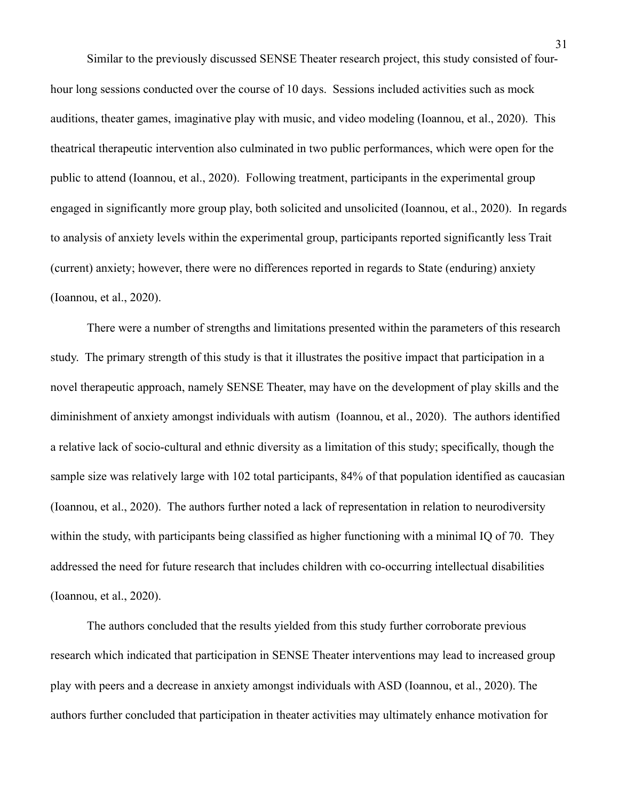Similar to the previously discussed SENSE Theater research project, this study consisted of fourhour long sessions conducted over the course of 10 days. Sessions included activities such as mock auditions, theater games, imaginative play with music, and video modeling (Ioannou, et al., 2020). This theatrical therapeutic intervention also culminated in two public performances, which were open for the public to attend (Ioannou, et al., 2020). Following treatment, participants in the experimental group engaged in significantly more group play, both solicited and unsolicited (Ioannou, et al., 2020). In regards to analysis of anxiety levels within the experimental group, participants reported significantly less Trait (current) anxiety; however, there were no differences reported in regards to State (enduring) anxiety (Ioannou, et al., 2020).

There were a number of strengths and limitations presented within the parameters of this research study. The primary strength of this study is that it illustrates the positive impact that participation in a novel therapeutic approach, namely SENSE Theater, may have on the development of play skills and the diminishment of anxiety amongst individuals with autism (Ioannou, et al., 2020). The authors identified a relative lack of socio-cultural and ethnic diversity as a limitation of this study; specifically, though the sample size was relatively large with 102 total participants, 84% of that population identified as caucasian (Ioannou, et al., 2020). The authors further noted a lack of representation in relation to neurodiversity within the study, with participants being classified as higher functioning with a minimal IQ of 70. They addressed the need for future research that includes children with co-occurring intellectual disabilities (Ioannou, et al., 2020).

The authors concluded that the results yielded from this study further corroborate previous research which indicated that participation in SENSE Theater interventions may lead to increased group play with peers and a decrease in anxiety amongst individuals with ASD (Ioannou, et al., 2020). The authors further concluded that participation in theater activities may ultimately enhance motivation for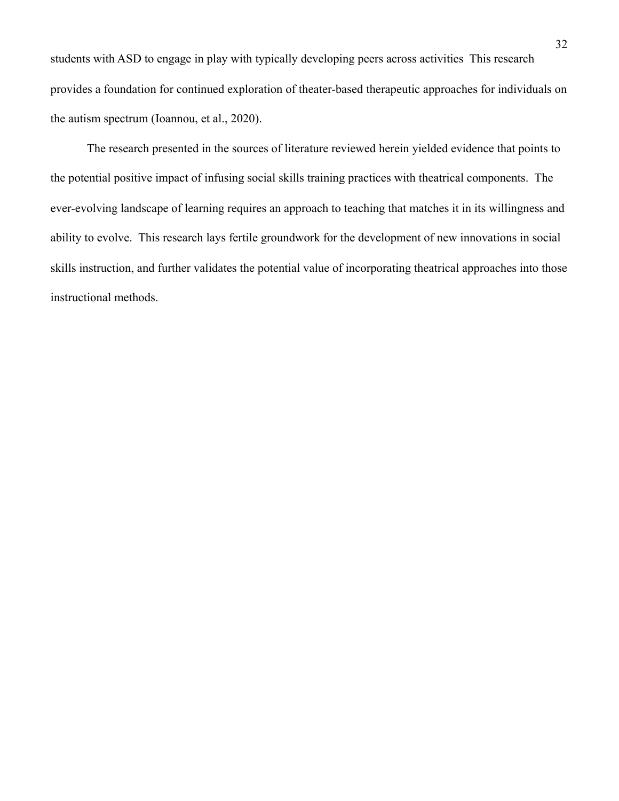students with ASD to engage in play with typically developing peers across activities This research provides a foundation for continued exploration of theater-based therapeutic approaches for individuals on the autism spectrum (Ioannou, et al., 2020).

The research presented in the sources of literature reviewed herein yielded evidence that points to the potential positive impact of infusing social skills training practices with theatrical components. The ever-evolving landscape of learning requires an approach to teaching that matches it in its willingness and ability to evolve. This research lays fertile groundwork for the development of new innovations in social skills instruction, and further validates the potential value of incorporating theatrical approaches into those instructional methods.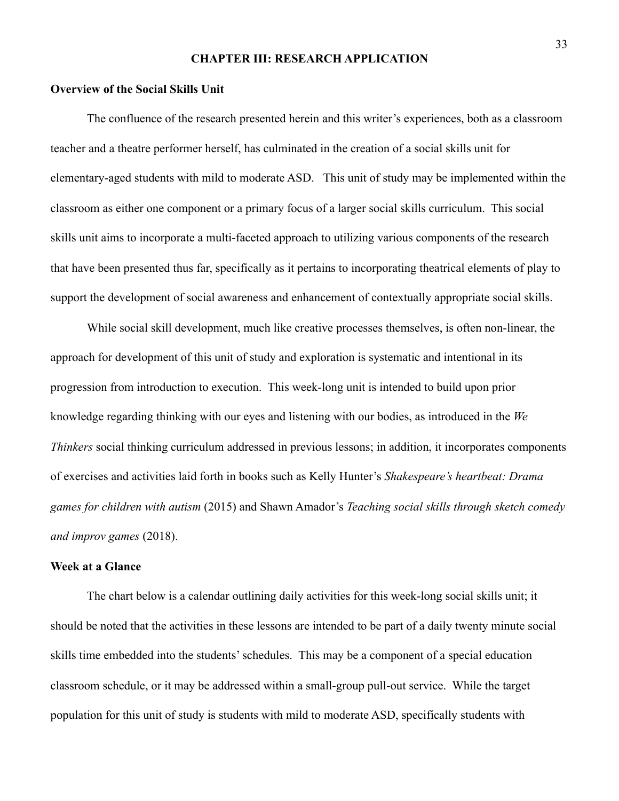#### **CHAPTER III: RESEARCH APPLICATION**

## **Overview of the Social Skills Unit**

The confluence of the research presented herein and this writer's experiences, both as a classroom teacher and a theatre performer herself, has culminated in the creation of a social skills unit for elementary-aged students with mild to moderate ASD. This unit of study may be implemented within the classroom as either one component or a primary focus of a larger social skills curriculum. This social skills unit aims to incorporate a multi-faceted approach to utilizing various components of the research that have been presented thus far, specifically as it pertains to incorporating theatrical elements of play to support the development of social awareness and enhancement of contextually appropriate social skills.

 While social skill development, much like creative processes themselves, is often non-linear, the approach for development of this unit of study and exploration is systematic and intentional in its progression from introduction to execution. This week-long unit is intended to build upon prior knowledge regarding thinking with our eyes and listening with our bodies, as introduced in the *We Thinkers* social thinking curriculum addressed in previous lessons; in addition, it incorporates components of exercises and activities laid forth in books such as Kelly Hunter's *Shakespeare's heartbeat: Drama games for children with autism* (2015) and Shawn Amador's *Teaching social skills through sketch comedy and improv games* (2018).

## **Week at a Glance**

The chart below is a calendar outlining daily activities for this week-long social skills unit; it should be noted that the activities in these lessons are intended to be part of a daily twenty minute social skills time embedded into the students' schedules. This may be a component of a special education classroom schedule, or it may be addressed within a small-group pull-out service. While the target population for this unit of study is students with mild to moderate ASD, specifically students with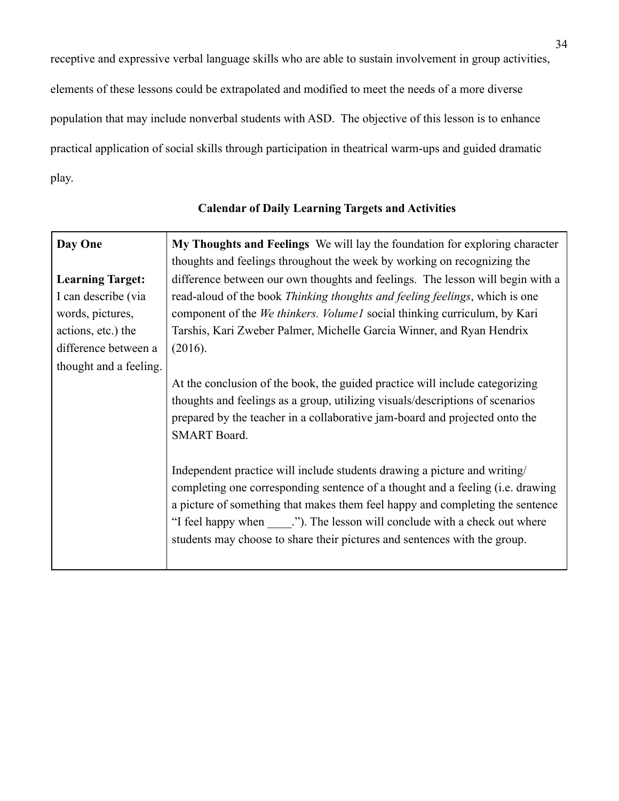receptive and expressive verbal language skills who are able to sustain involvement in group activities, elements of these lessons could be extrapolated and modified to meet the needs of a more diverse population that may include nonverbal students with ASD. The objective of this lesson is to enhance practical application of social skills through participation in theatrical warm-ups and guided dramatic play.

| Day One                                                                                                                                    | My Thoughts and Feelings We will lay the foundation for exploring character<br>thoughts and feelings throughout the week by working on recognizing the                                                                                                                                                                                                                                                      |  |  |  |
|--------------------------------------------------------------------------------------------------------------------------------------------|-------------------------------------------------------------------------------------------------------------------------------------------------------------------------------------------------------------------------------------------------------------------------------------------------------------------------------------------------------------------------------------------------------------|--|--|--|
| <b>Learning Target:</b><br>I can describe (via<br>words, pictures,<br>actions, etc.) the<br>difference between a<br>thought and a feeling. | difference between our own thoughts and feelings. The lesson will begin with a<br>read-aloud of the book <i>Thinking thoughts and feeling feelings</i> , which is one<br>component of the <i>We thinkers. Volume1</i> social thinking curriculum, by Kari<br>Tarshis, Kari Zweber Palmer, Michelle Garcia Winner, and Ryan Hendrix<br>(2016).                                                               |  |  |  |
|                                                                                                                                            | At the conclusion of the book, the guided practice will include categorizing<br>thoughts and feelings as a group, utilizing visuals/descriptions of scenarios<br>prepared by the teacher in a collaborative jam-board and projected onto the<br><b>SMART</b> Board.                                                                                                                                         |  |  |  |
|                                                                                                                                            | Independent practice will include students drawing a picture and writing/<br>completing one corresponding sentence of a thought and a feeling ( <i>i.e.</i> drawing<br>a picture of something that makes them feel happy and completing the sentence<br>"I feel happy when "). The lesson will conclude with a check out where<br>students may choose to share their pictures and sentences with the group. |  |  |  |

# **Calendar of Daily Learning Targets and Activities**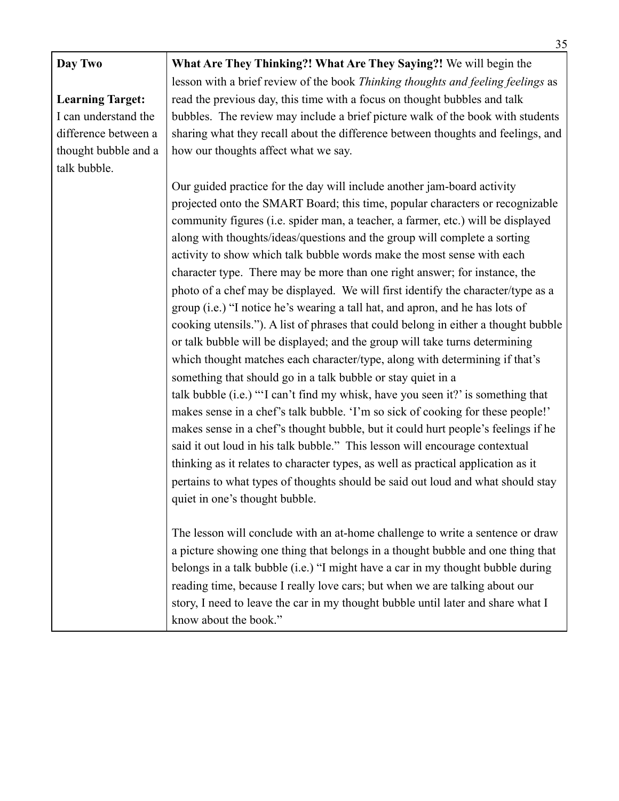| Day Two                 | What Are They Thinking?! What Are They Saying?! We will begin the                   |  |  |  |
|-------------------------|-------------------------------------------------------------------------------------|--|--|--|
|                         | lesson with a brief review of the book Thinking thoughts and feeling feelings as    |  |  |  |
| <b>Learning Target:</b> | read the previous day, this time with a focus on thought bubbles and talk           |  |  |  |
| I can understand the    | bubbles. The review may include a brief picture walk of the book with students      |  |  |  |
| difference between a    | sharing what they recall about the difference between thoughts and feelings, and    |  |  |  |
| thought bubble and a    | how our thoughts affect what we say.                                                |  |  |  |
| talk bubble.            |                                                                                     |  |  |  |
|                         | Our guided practice for the day will include another jam-board activity             |  |  |  |
|                         | projected onto the SMART Board; this time, popular characters or recognizable       |  |  |  |
|                         | community figures (i.e. spider man, a teacher, a farmer, etc.) will be displayed    |  |  |  |
|                         | along with thoughts/ideas/questions and the group will complete a sorting           |  |  |  |
|                         | activity to show which talk bubble words make the most sense with each              |  |  |  |
|                         | character type. There may be more than one right answer; for instance, the          |  |  |  |
|                         | photo of a chef may be displayed. We will first identify the character/type as a    |  |  |  |
|                         | group (i.e.) "I notice he's wearing a tall hat, and apron, and he has lots of       |  |  |  |
|                         | cooking utensils."). A list of phrases that could belong in either a thought bubble |  |  |  |
|                         | or talk bubble will be displayed; and the group will take turns determining         |  |  |  |
|                         | which thought matches each character/type, along with determining if that's         |  |  |  |
|                         | something that should go in a talk bubble or stay quiet in a                        |  |  |  |
|                         | talk bubble (i.e.) "'I can't find my whisk, have you seen it?' is something that    |  |  |  |
|                         | makes sense in a chef's talk bubble. 'I'm so sick of cooking for these people!'     |  |  |  |
|                         | makes sense in a chef's thought bubble, but it could hurt people's feelings if he   |  |  |  |
|                         | said it out loud in his talk bubble." This lesson will encourage contextual         |  |  |  |
|                         | thinking as it relates to character types, as well as practical application as it   |  |  |  |
|                         | pertains to what types of thoughts should be said out loud and what should stay     |  |  |  |
|                         | quiet in one's thought bubble.                                                      |  |  |  |
|                         | The lesson will conclude with an at-home challenge to write a sentence or draw      |  |  |  |
|                         | a picture showing one thing that belongs in a thought bubble and one thing that     |  |  |  |
|                         | belongs in a talk bubble (i.e.) "I might have a car in my thought bubble during     |  |  |  |
|                         | reading time, because I really love cars; but when we are talking about our         |  |  |  |
|                         | story, I need to leave the car in my thought bubble until later and share what I    |  |  |  |
|                         | know about the book."                                                               |  |  |  |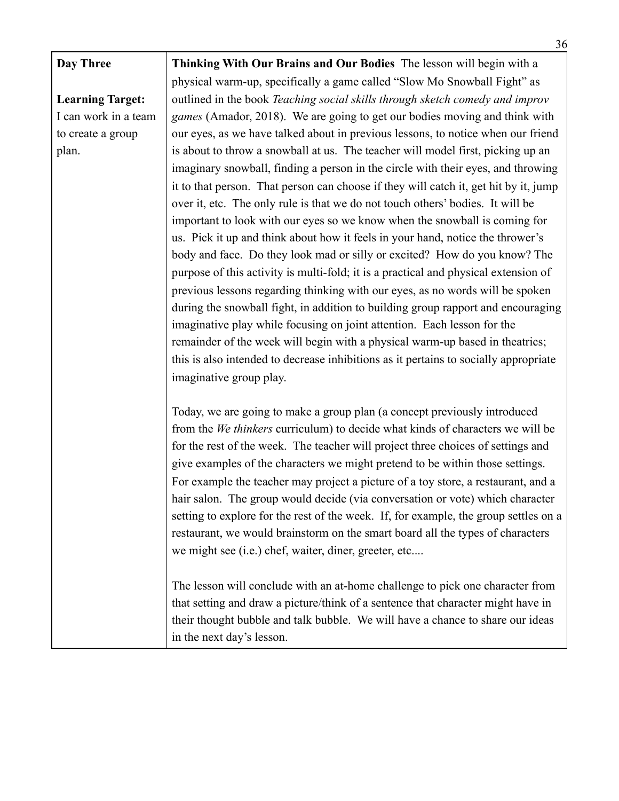|                         | 36                                                                                    |  |  |  |
|-------------------------|---------------------------------------------------------------------------------------|--|--|--|
| Day Three               | Thinking With Our Brains and Our Bodies The lesson will begin with a                  |  |  |  |
|                         | physical warm-up, specifically a game called "Slow Mo Snowball Fight" as              |  |  |  |
| <b>Learning Target:</b> | outlined in the book Teaching social skills through sketch comedy and improv          |  |  |  |
| I can work in a team    | <i>games</i> (Amador, 2018). We are going to get our bodies moving and think with     |  |  |  |
| to create a group       | our eyes, as we have talked about in previous lessons, to notice when our friend      |  |  |  |
| plan.                   | is about to throw a snowball at us. The teacher will model first, picking up an       |  |  |  |
|                         | imaginary snowball, finding a person in the circle with their eyes, and throwing      |  |  |  |
|                         | it to that person. That person can choose if they will catch it, get hit by it, jump  |  |  |  |
|                         | over it, etc. The only rule is that we do not touch others' bodies. It will be        |  |  |  |
|                         | important to look with our eyes so we know when the snowball is coming for            |  |  |  |
|                         | us. Pick it up and think about how it feels in your hand, notice the thrower's        |  |  |  |
|                         | body and face. Do they look mad or silly or excited? How do you know? The             |  |  |  |
|                         | purpose of this activity is multi-fold; it is a practical and physical extension of   |  |  |  |
|                         | previous lessons regarding thinking with our eyes, as no words will be spoken         |  |  |  |
|                         | during the snowball fight, in addition to building group rapport and encouraging      |  |  |  |
|                         | imaginative play while focusing on joint attention. Each lesson for the               |  |  |  |
|                         | remainder of the week will begin with a physical warm-up based in theatrics;          |  |  |  |
|                         | this is also intended to decrease inhibitions as it pertains to socially appropriate  |  |  |  |
|                         | imaginative group play.                                                               |  |  |  |
|                         |                                                                                       |  |  |  |
|                         | Today, we are going to make a group plan (a concept previously introduced             |  |  |  |
|                         | from the <i>We thinkers</i> curriculum) to decide what kinds of characters we will be |  |  |  |
|                         | for the rest of the week. The teacher will project three choices of settings and      |  |  |  |
|                         | give examples of the characters we might pretend to be within those settings.         |  |  |  |
|                         | For example the teacher may project a picture of a toy store, a restaurant, and a     |  |  |  |
|                         | hair salon. The group would decide (via conversation or vote) which character         |  |  |  |
|                         | setting to explore for the rest of the week. If, for example, the group settles on a  |  |  |  |
|                         | restaurant, we would brainstorm on the smart board all the types of characters        |  |  |  |
|                         | we might see (i.e.) chef, waiter, diner, greeter, etc                                 |  |  |  |
|                         |                                                                                       |  |  |  |
|                         | The lesson will conclude with an at-home challenge to pick one character from         |  |  |  |
|                         | that setting and draw a picture/think of a sentence that character might have in      |  |  |  |
|                         | their thought bubble and talk bubble. We will have a chance to share our ideas        |  |  |  |
|                         | in the next day's lesson.                                                             |  |  |  |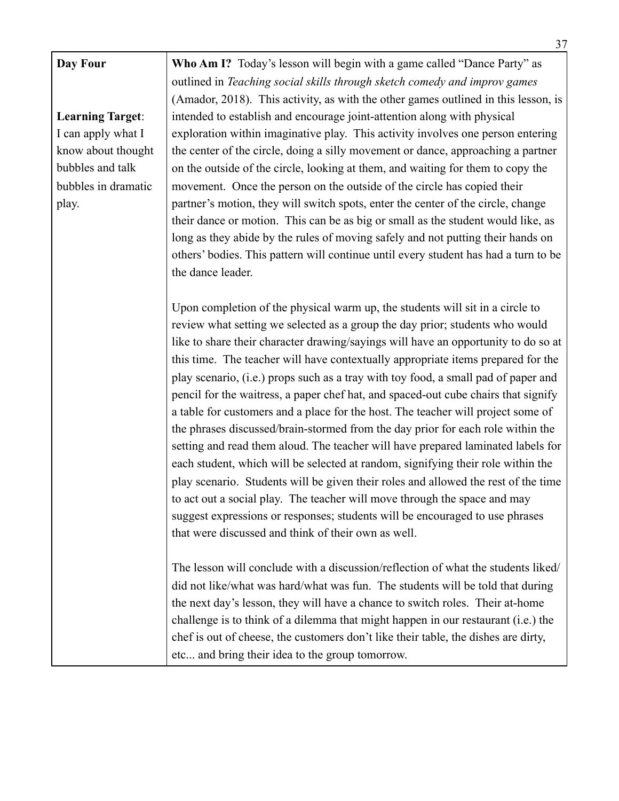# **Learning Target**: I can apply what I know about thought bubbles and talk bubbles in dramatic play.

**Who Am I?** Today's lesson will begin with a game called "Dance Party" as outlined in *Teaching social skills through sketch comedy and improv games*  (Amador, 2018). This activity, as with the other games outlined in this lesson, is intended to establish and encourage joint-attention along with physical exploration within imaginative play. This activity involves one person entering the center of the circle, doing a silly movement or dance, approaching a partner on the outside of the circle, looking at them, and waiting for them to copy the movement. Once the person on the outside of the circle has copied their partner's motion, they will switch spots, enter the center of the circle, change their dance or motion. This can be as big or small as the student would like, as long as they abide by the rules of moving safely and not putting their hands on others' bodies. This pattern will continue until every student has had a turn to be the dance leader.

Upon completion of the physical warm up, the students will sit in a circle to review what setting we selected as a group the day prior; students who would like to share their character drawing/sayings will have an opportunity to do so at this time. The teacher will have contextually appropriate items prepared for the play scenario, (i.e.) props such as a tray with toy food, a small pad of paper and pencil for the waitress, a paper chef hat, and spaced-out cube chairs that signify a table for customers and a place for the host. The teacher will project some of the phrases discussed/brain-stormed from the day prior for each role within the setting and read them aloud. The teacher will have prepared laminated labels for each student, which will be selected at random, signifying their role within the play scenario. Students will be given their roles and allowed the rest of the time to act out a social play. The teacher will move through the space and may suggest expressions or responses; students will be encouraged to use phrases that were discussed and think of their own as well.

The lesson will conclude with a discussion/reflection of what the students liked/ did not like/what was hard/what was fun. The students will be told that during the next day's lesson, they will have a chance to switch roles. Their at-home challenge is to think of a dilemma that might happen in our restaurant (i.e.) the chef is out of cheese, the customers don't like their table, the dishes are dirty, etc... and bring their idea to the group tomorrow.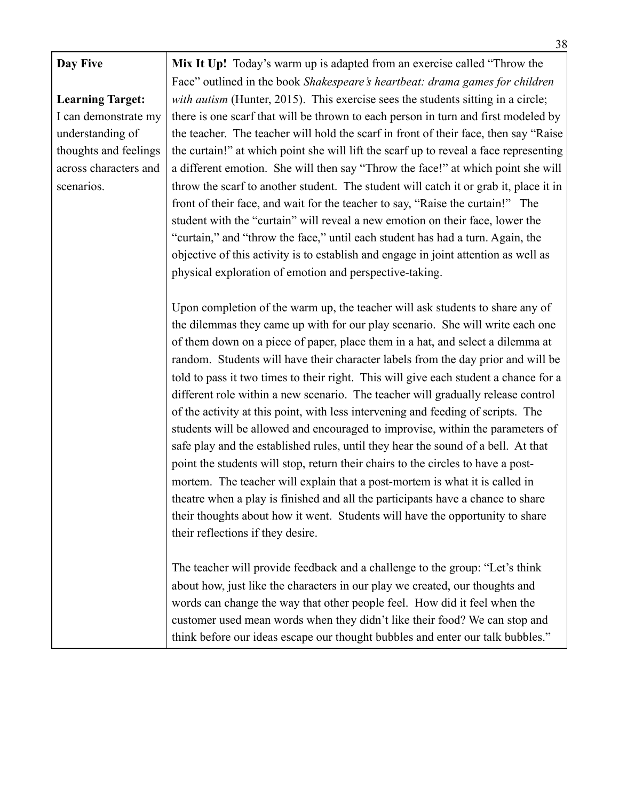| Day Five                | Mix It Up! Today's warm up is adapted from an exercise called "Throw the              |
|-------------------------|---------------------------------------------------------------------------------------|
|                         | Face" outlined in the book Shakespeare's heartbeat: drama games for children          |
| <b>Learning Target:</b> | with autism (Hunter, 2015). This exercise sees the students sitting in a circle;      |
| I can demonstrate my    | there is one scarf that will be thrown to each person in turn and first modeled by    |
| understanding of        | the teacher. The teacher will hold the scarf in front of their face, then say "Raise" |
| thoughts and feelings   | the curtain!" at which point she will lift the scarf up to reveal a face representing |
| across characters and   | a different emotion. She will then say "Throw the face!" at which point she will      |
| scenarios.              | throw the scarf to another student. The student will catch it or grab it, place it in |
|                         | front of their face, and wait for the teacher to say, "Raise the curtain!" The        |
|                         | student with the "curtain" will reveal a new emotion on their face, lower the         |
|                         | "curtain," and "throw the face," until each student has had a turn. Again, the        |
|                         | objective of this activity is to establish and engage in joint attention as well as   |
|                         | physical exploration of emotion and perspective-taking.                               |
|                         |                                                                                       |
|                         | Upon completion of the warm up, the teacher will ask students to share any of         |
|                         | the dilemmas they came up with for our play scenario. She will write each one         |
|                         | of them down on a piece of paper, place them in a hat, and select a dilemma at        |
|                         | random. Students will have their character labels from the day prior and will be      |
|                         |                                                                                       |
|                         | told to pass it two times to their right. This will give each student a chance for a  |
|                         | different role within a new scenario. The teacher will gradually release control      |
|                         | of the activity at this point, with less intervening and feeding of scripts. The      |
|                         | students will be allowed and encouraged to improvise, within the parameters of        |
|                         | safe play and the established rules, until they hear the sound of a bell. At that     |
|                         | point the students will stop, return their chairs to the circles to have a post-      |
|                         | mortem. The teacher will explain that a post-mortem is what it is called in           |
|                         | theatre when a play is finished and all the participants have a chance to share       |
|                         | their thoughts about how it went. Students will have the opportunity to share         |
|                         | their reflections if they desire.                                                     |
|                         | The teacher will provide feedback and a challenge to the group: "Let's think          |
|                         | about how, just like the characters in our play we created, our thoughts and          |
|                         | words can change the way that other people feel. How did it feel when the             |
|                         | customer used mean words when they didn't like their food? We can stop and            |
|                         | think before our ideas escape our thought bubbles and enter our talk bubbles."        |
|                         |                                                                                       |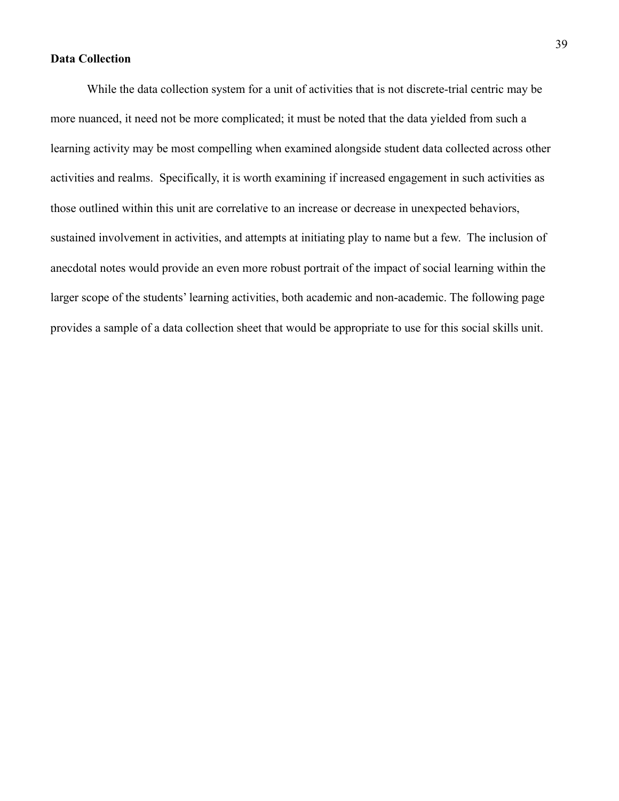## **Data Collection**

While the data collection system for a unit of activities that is not discrete-trial centric may be more nuanced, it need not be more complicated; it must be noted that the data yielded from such a learning activity may be most compelling when examined alongside student data collected across other activities and realms. Specifically, it is worth examining if increased engagement in such activities as those outlined within this unit are correlative to an increase or decrease in unexpected behaviors, sustained involvement in activities, and attempts at initiating play to name but a few. The inclusion of anecdotal notes would provide an even more robust portrait of the impact of social learning within the larger scope of the students' learning activities, both academic and non-academic. The following page provides a sample of a data collection sheet that would be appropriate to use for this social skills unit.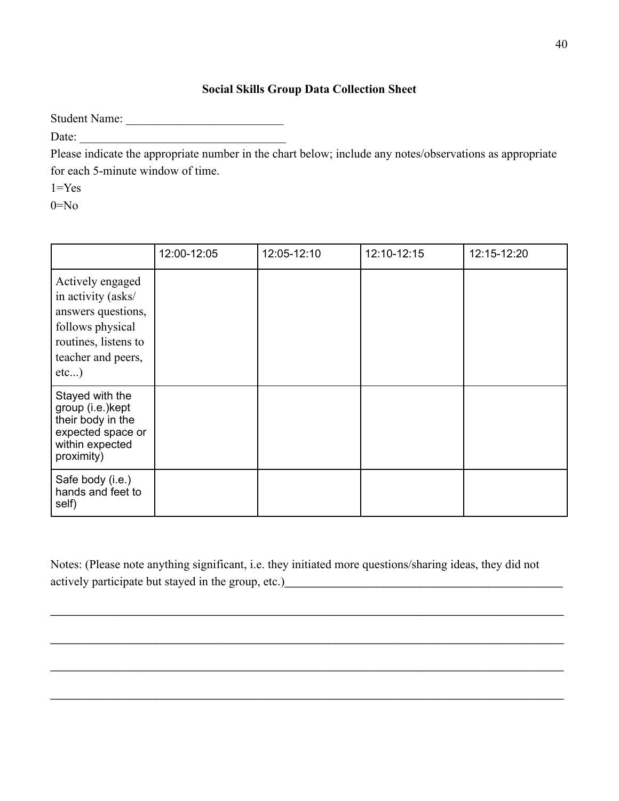## **Social Skills Group Data Collection Sheet**

Student Name: \_\_\_\_\_\_\_\_\_\_\_\_\_\_\_\_\_\_\_\_\_\_\_\_\_\_

Date:

Please indicate the appropriate number in the chart below; include any notes/observations as appropriate for each 5-minute window of time.

 $1 = Yes$ 

 $0 = No$ 

|                                                                                                                                           | 12:00-12:05 | 12:05-12:10 | 12:10-12:15 | 12:15-12:20 |
|-------------------------------------------------------------------------------------------------------------------------------------------|-------------|-------------|-------------|-------------|
| Actively engaged<br>in activity (asks/<br>answers questions,<br>follows physical<br>routines, listens to<br>teacher and peers,<br>$etc$ ) |             |             |             |             |
| Stayed with the<br>group (i.e.) kept<br>their body in the<br>expected space or<br>within expected<br>proximity)                           |             |             |             |             |
| Safe body (i.e.)<br>hands and feet to<br>self)                                                                                            |             |             |             |             |

Notes: (Please note anything significant, i.e. they initiated more questions/sharing ideas, they did not actively participate but stayed in the group, etc.)\_\_\_\_\_\_\_\_\_\_\_\_\_\_\_\_\_\_\_\_\_\_\_\_\_\_\_\_\_\_\_\_\_\_\_\_\_\_\_\_\_\_\_\_\_

\_\_\_\_\_\_\_\_\_\_\_\_\_\_\_\_\_\_\_\_\_\_\_\_\_\_\_\_\_\_\_\_\_\_\_\_\_\_\_\_\_\_\_\_\_\_\_\_\_\_\_\_\_\_\_\_\_\_\_\_\_\_\_\_\_\_\_\_\_\_\_\_\_\_\_\_\_\_\_\_\_\_\_

\_\_\_\_\_\_\_\_\_\_\_\_\_\_\_\_\_\_\_\_\_\_\_\_\_\_\_\_\_\_\_\_\_\_\_\_\_\_\_\_\_\_\_\_\_\_\_\_\_\_\_\_\_\_\_\_\_\_\_\_\_\_\_\_\_\_\_\_\_\_\_\_\_\_\_\_\_\_\_\_\_\_\_

\_\_\_\_\_\_\_\_\_\_\_\_\_\_\_\_\_\_\_\_\_\_\_\_\_\_\_\_\_\_\_\_\_\_\_\_\_\_\_\_\_\_\_\_\_\_\_\_\_\_\_\_\_\_\_\_\_\_\_\_\_\_\_\_\_\_\_\_\_\_\_\_\_\_\_\_\_\_\_\_\_\_\_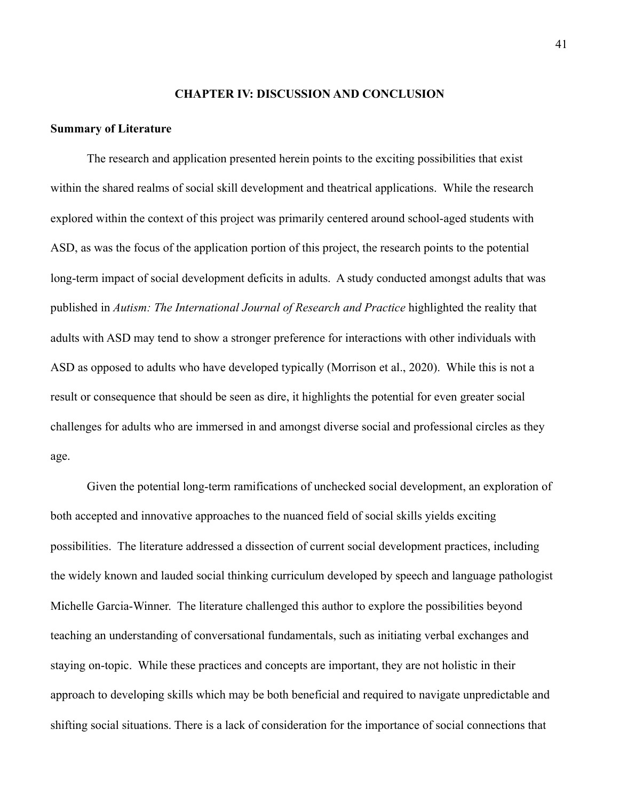#### **CHAPTER IV: DISCUSSION AND CONCLUSION**

#### **Summary of Literature**

The research and application presented herein points to the exciting possibilities that exist within the shared realms of social skill development and theatrical applications. While the research explored within the context of this project was primarily centered around school-aged students with ASD, as was the focus of the application portion of this project, the research points to the potential long-term impact of social development deficits in adults. A study conducted amongst adults that was published in *Autism: The International Journal of Research and Practice* highlighted the reality that adults with ASD may tend to show a stronger preference for interactions with other individuals with ASD as opposed to adults who have developed typically (Morrison et al., 2020). While this is not a result or consequence that should be seen as dire, it highlights the potential for even greater social challenges for adults who are immersed in and amongst diverse social and professional circles as they age.

Given the potential long-term ramifications of unchecked social development, an exploration of both accepted and innovative approaches to the nuanced field of social skills yields exciting possibilities. The literature addressed a dissection of current social development practices, including the widely known and lauded social thinking curriculum developed by speech and language pathologist Michelle Garcia-Winner. The literature challenged this author to explore the possibilities beyond teaching an understanding of conversational fundamentals, such as initiating verbal exchanges and staying on-topic. While these practices and concepts are important, they are not holistic in their approach to developing skills which may be both beneficial and required to navigate unpredictable and shifting social situations. There is a lack of consideration for the importance of social connections that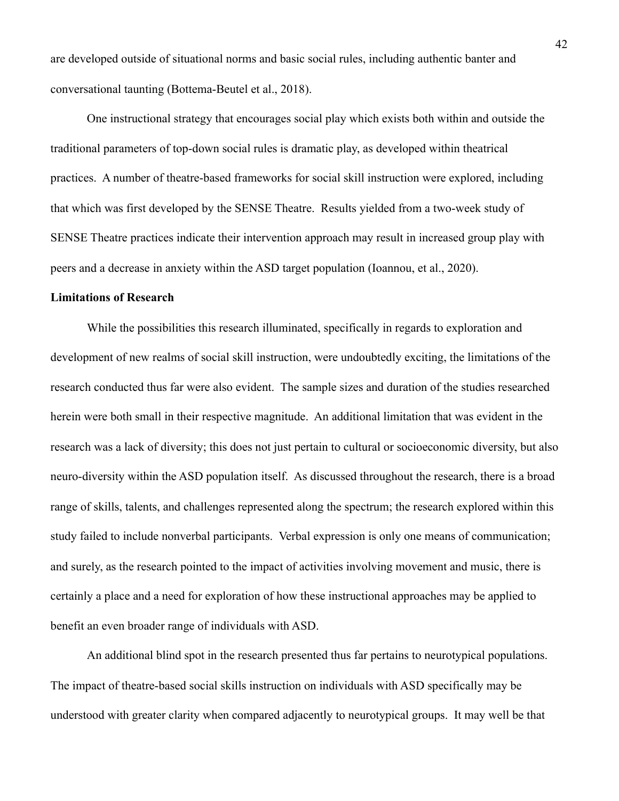are developed outside of situational norms and basic social rules, including authentic banter and conversational taunting (Bottema-Beutel et al., 2018).

One instructional strategy that encourages social play which exists both within and outside the traditional parameters of top-down social rules is dramatic play, as developed within theatrical practices. A number of theatre-based frameworks for social skill instruction were explored, including that which was first developed by the SENSE Theatre. Results yielded from a two-week study of SENSE Theatre practices indicate their intervention approach may result in increased group play with peers and a decrease in anxiety within the ASD target population (Ioannou, et al., 2020).

#### **Limitations of Research**

While the possibilities this research illuminated, specifically in regards to exploration and development of new realms of social skill instruction, were undoubtedly exciting, the limitations of the research conducted thus far were also evident. The sample sizes and duration of the studies researched herein were both small in their respective magnitude. An additional limitation that was evident in the research was a lack of diversity; this does not just pertain to cultural or socioeconomic diversity, but also neuro-diversity within the ASD population itself. As discussed throughout the research, there is a broad range of skills, talents, and challenges represented along the spectrum; the research explored within this study failed to include nonverbal participants. Verbal expression is only one means of communication; and surely, as the research pointed to the impact of activities involving movement and music, there is certainly a place and a need for exploration of how these instructional approaches may be applied to benefit an even broader range of individuals with ASD.

An additional blind spot in the research presented thus far pertains to neurotypical populations. The impact of theatre-based social skills instruction on individuals with ASD specifically may be understood with greater clarity when compared adjacently to neurotypical groups. It may well be that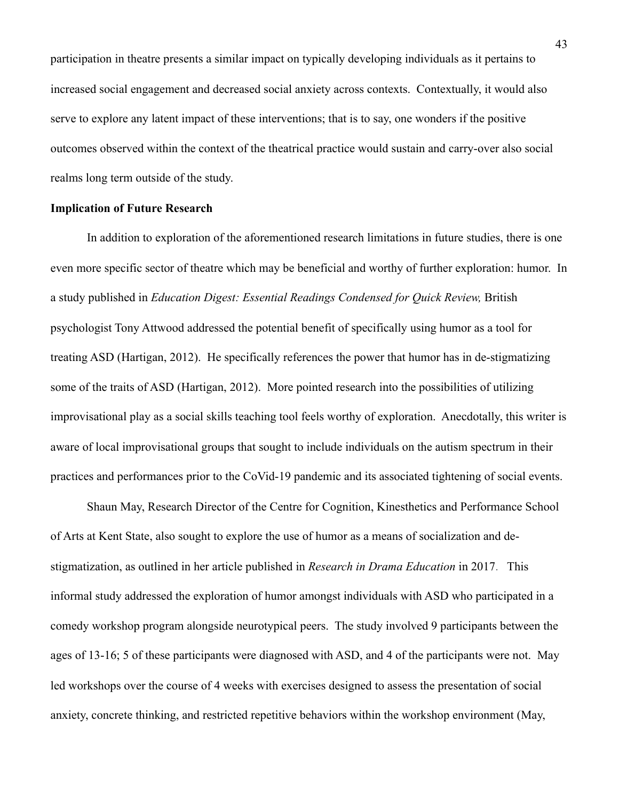participation in theatre presents a similar impact on typically developing individuals as it pertains to increased social engagement and decreased social anxiety across contexts. Contextually, it would also serve to explore any latent impact of these interventions; that is to say, one wonders if the positive outcomes observed within the context of the theatrical practice would sustain and carry-over also social realms long term outside of the study.

## **Implication of Future Research**

In addition to exploration of the aforementioned research limitations in future studies, there is one even more specific sector of theatre which may be beneficial and worthy of further exploration: humor. In a study published in *Education Digest: Essential Readings Condensed for Quick Review,* British psychologist Tony Attwood addressed the potential benefit of specifically using humor as a tool for treating ASD (Hartigan, 2012). He specifically references the power that humor has in de-stigmatizing some of the traits of ASD (Hartigan, 2012). More pointed research into the possibilities of utilizing improvisational play as a social skills teaching tool feels worthy of exploration. Anecdotally, this writer is aware of local improvisational groups that sought to include individuals on the autism spectrum in their practices and performances prior to the CoVid-19 pandemic and its associated tightening of social events.

Shaun May, Research Director of the Centre for Cognition, Kinesthetics and Performance School of Arts at Kent State, also sought to explore the use of humor as a means of socialization and destigmatization, as outlined in her article published in *Research in Drama Education* in 2017. This informal study addressed the exploration of humor amongst individuals with ASD who participated in a comedy workshop program alongside neurotypical peers. The study involved 9 participants between the ages of 13-16; 5 of these participants were diagnosed with ASD, and 4 of the participants were not. May led workshops over the course of 4 weeks with exercises designed to assess the presentation of social anxiety, concrete thinking, and restricted repetitive behaviors within the workshop environment (May,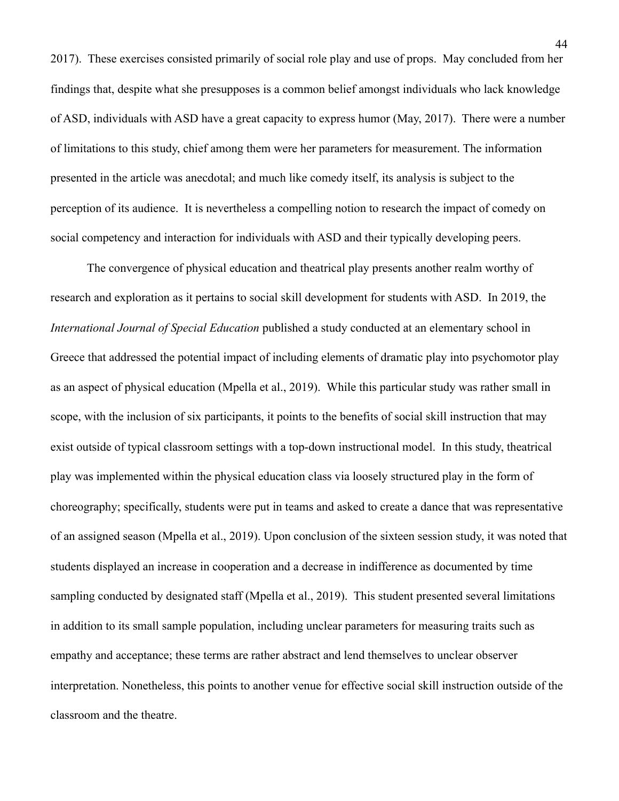2017). These exercises consisted primarily of social role play and use of props. May concluded from her findings that, despite what she presupposes is a common belief amongst individuals who lack knowledge of ASD, individuals with ASD have a great capacity to express humor (May, 2017). There were a number of limitations to this study, chief among them were her parameters for measurement. The information presented in the article was anecdotal; and much like comedy itself, its analysis is subject to the perception of its audience. It is nevertheless a compelling notion to research the impact of comedy on social competency and interaction for individuals with ASD and their typically developing peers.

The convergence of physical education and theatrical play presents another realm worthy of research and exploration as it pertains to social skill development for students with ASD. In 2019, the *International Journal of Special Education* published a study conducted at an elementary school in Greece that addressed the potential impact of including elements of dramatic play into psychomotor play as an aspect of physical education (Mpella et al., 2019). While this particular study was rather small in scope, with the inclusion of six participants, it points to the benefits of social skill instruction that may exist outside of typical classroom settings with a top-down instructional model. In this study, theatrical play was implemented within the physical education class via loosely structured play in the form of choreography; specifically, students were put in teams and asked to create a dance that was representative of an assigned season (Mpella et al., 2019). Upon conclusion of the sixteen session study, it was noted that students displayed an increase in cooperation and a decrease in indifference as documented by time sampling conducted by designated staff (Mpella et al., 2019). This student presented several limitations in addition to its small sample population, including unclear parameters for measuring traits such as empathy and acceptance; these terms are rather abstract and lend themselves to unclear observer interpretation. Nonetheless, this points to another venue for effective social skill instruction outside of the classroom and the theatre.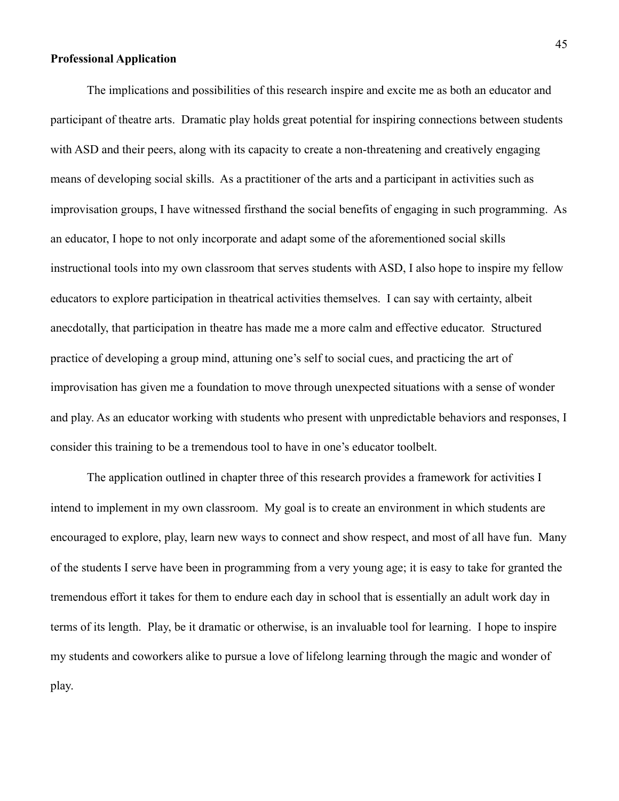#### **Professional Application**

The implications and possibilities of this research inspire and excite me as both an educator and participant of theatre arts. Dramatic play holds great potential for inspiring connections between students with ASD and their peers, along with its capacity to create a non-threatening and creatively engaging means of developing social skills. As a practitioner of the arts and a participant in activities such as improvisation groups, I have witnessed firsthand the social benefits of engaging in such programming. As an educator, I hope to not only incorporate and adapt some of the aforementioned social skills instructional tools into my own classroom that serves students with ASD, I also hope to inspire my fellow educators to explore participation in theatrical activities themselves. I can say with certainty, albeit anecdotally, that participation in theatre has made me a more calm and effective educator. Structured practice of developing a group mind, attuning one's self to social cues, and practicing the art of improvisation has given me a foundation to move through unexpected situations with a sense of wonder and play. As an educator working with students who present with unpredictable behaviors and responses, I consider this training to be a tremendous tool to have in one's educator toolbelt.

 The application outlined in chapter three of this research provides a framework for activities I intend to implement in my own classroom. My goal is to create an environment in which students are encouraged to explore, play, learn new ways to connect and show respect, and most of all have fun. Many of the students I serve have been in programming from a very young age; it is easy to take for granted the tremendous effort it takes for them to endure each day in school that is essentially an adult work day in terms of its length. Play, be it dramatic or otherwise, is an invaluable tool for learning. I hope to inspire my students and coworkers alike to pursue a love of lifelong learning through the magic and wonder of play.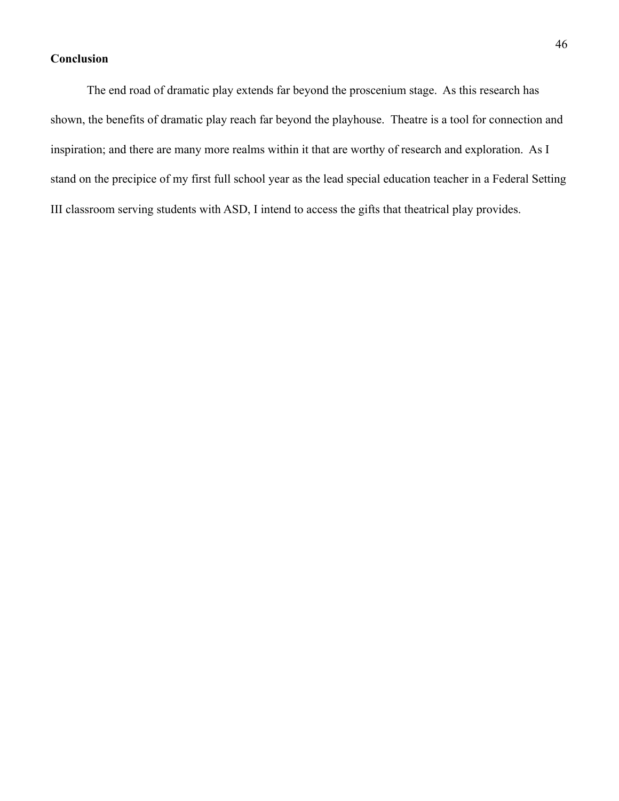## **Conclusion**

The end road of dramatic play extends far beyond the proscenium stage. As this research has shown, the benefits of dramatic play reach far beyond the playhouse. Theatre is a tool for connection and inspiration; and there are many more realms within it that are worthy of research and exploration. As I stand on the precipice of my first full school year as the lead special education teacher in a Federal Setting III classroom serving students with ASD, I intend to access the gifts that theatrical play provides.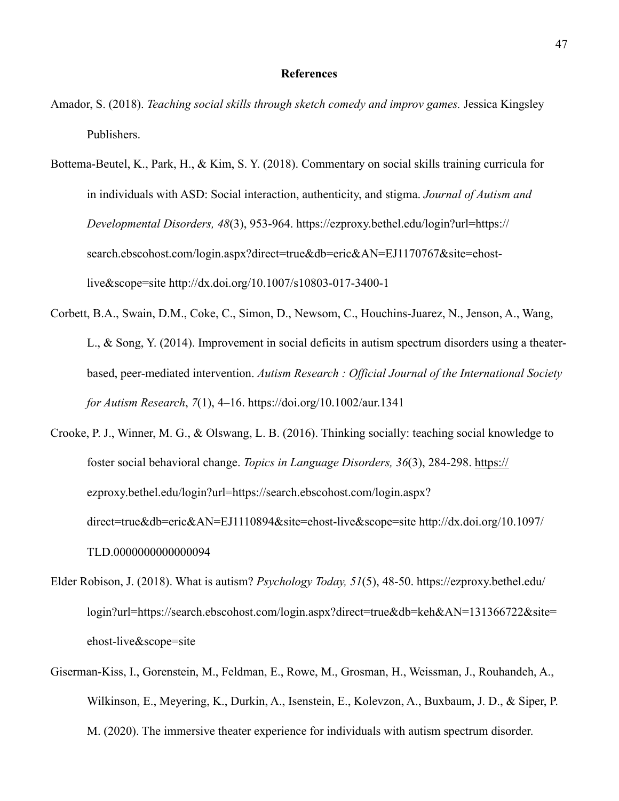### **References**

- Amador, S. (2018). *Teaching social skills through sketch comedy and improv games.* Jessica Kingsley Publishers.
- Bottema-Beutel, K., Park, H., & Kim, S. Y. (2018). Commentary on social skills training curricula for in individuals with ASD: Social interaction, authenticity, and stigma. *Journal of Autism and Developmental Disorders, 48*(3), 953-964. <https://ezproxy.bethel.edu/login?url=https://> search.ebscohost.com/login.aspx?direct=true&db=eric&AN=EJ1170767&site=ehost live&scope=site http://dx.doi.org/10.1007/s10803-017-3400-1
- Corbett, B.A., Swain, D.M., Coke, C., Simon, D., Newsom, C., Houchins-Juarez, N., Jenson, A., Wang, L., & Song, Y. (2014). Improvement in social deficits in autism spectrum disorders using a theater based, peer-mediated intervention. *Autism Research : Official Journal of the International Society for Autism Research*, *7*(1), 4–16. <https://doi.org/10.1002/aur.1341>
- Crooke, P. J., Winner, M. G., & Olswang, L. B. (2016). Thinking socially: teaching social knowledge to foster social behavioral change. *Topics in Language Disorders, 36*(3), 284-298. https:// [ezproxy.bethel.edu/login?url=https://search.ebscohost.com/login.aspx?](http://ezproxy.bethel.edu/login?url=https://search.ebscohost.com/login.aspx?)  direct=true&db=eric&AN=EJ1110894&site=ehost-live&scope=site <http://dx.doi.org/10.1097/> TLD.0000000000000094
- Elder Robison, J. (2018). What is autism? *Psychology Today, 51*(5), 48-50. https://ezproxy.bethel.edu/ login?url=https://search.ebscohost.com/login.aspx?direct=true&db=keh&AN=131366722&site= ehost-live&scope=site
- Giserman-Kiss, I., Gorenstein, M., Feldman, E., Rowe, M., Grosman, H., Weissman, J., Rouhandeh, A., Wilkinson, E., Meyering, K., Durkin, A., Isenstein, E., Kolevzon, A., Buxbaum, J. D., & Siper, P. M. (2020). The immersive theater experience for individuals with autism spectrum disorder.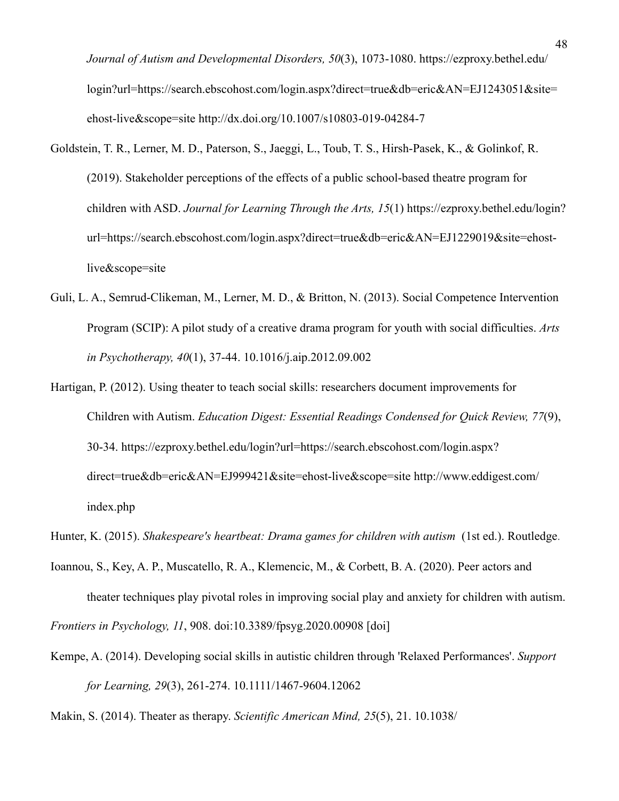*Journal of Autism and Developmental Disorders, 50*(3), 1073-1080. <https://ezproxy.bethel.edu/> login?url[=https://search.ebscohost.com/login.aspx?d](https://search.ebscohost.com/login.aspx?)irect=true&db=eric&AN=EJ1243051&site= ehost-live&scope=site [http://dx.doi.org/10.1007/s](http://dx.doi.org/10.1007/)10803-019-04284-7

- Goldstein, T. R., Lerner, M. D., Paterson, S., Jaeggi, L., Toub, T. S., Hirsh-Pasek, K., & Golinkof, R. (2019). Stakeholder perceptions of the effects of a public school-based theatre program for children with ASD. *Journal for Learning Through the Arts, 15*(1) <https://ezproxy.bethel.edu/login?> url[=https://search.ebscohost.com/login.aspx?direct=true&db=eric&AN=EJ1229019&site=ehost](https://search.ebscohost.com/login.aspx?direct=true&db=eric&AN=EJ1229019&site=ehost-)  live&scope=site
- Guli, L. A., Semrud-Clikeman, M., Lerner, M. D., & Britton, N. (2013). Social Competence Intervention Program (SCIP): A pilot study of a creative drama program for youth with social difficulties. *Arts in Psychotherapy, 40*(1), 37-44. 10.1016/j.aip.2012.09.002
- Hartigan, P. (2012). Using theater to teach social skills: researchers document improvements for Children with Autism. *Education Digest: Essential Readings Condensed for Quick Review, 77*(9), 30-34. <https://ezproxy.bethel.edu/login?url=https://search.ebscohost.com/login.aspx?> direct=true&db=eric&AN=EJ999421&site=ehost-live&scope=site <http://www.eddigest.com/> index.php

- Ioannou, S., Key, A. P., Muscatello, R. A., Klemencic, M., & Corbett, B. A. (2020). Peer actors and theater techniques play pivotal roles in improving social play and anxiety for children with autism. *Frontiers in Psychology, 11*, 908. doi:10.3389/fpsyg.2020.00908 [doi]
- Kempe, A. (2014). Developing social skills in autistic children through 'Relaxed Performances'. *Support for Learning, 29*(3), 261-274. 10.1111/1467-9604.12062

Makin, S. (2014). Theater as therapy. *Scientific American Mind, 25*(5), 21. 10.1038/

Hunter, K. (2015). *Shakespeare's heartbeat: Drama games for children with autism* (1st ed.). Routledge.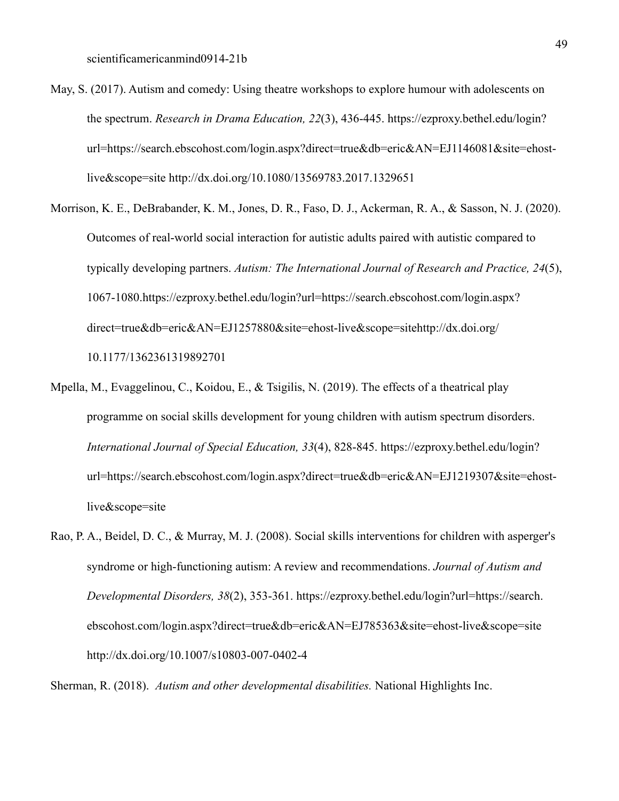- May, S. (2017). Autism and comedy: Using theatre workshops to explore humour with adolescents on the spectrum. *Research in Drama Education, 22*(3), 436-445. <https://ezproxy.bethel.edu/login?> url[=https://search.ebscohost.com/login.aspx?direct=true&db=eric&AN=EJ1146081&site=ehost](https://search.ebscohost.com/login.aspx?direct=true&db=eric&AN=EJ1146081&site=ehost-)  live&scope=site<http://dx.doi.org/10.1080/13569783.2017.1329651>
- Morrison, K. E., DeBrabander, K. M., Jones, D. R., Faso, D. J., Ackerman, R. A., & Sasson, N. J. (2020). Outcomes of real-world social interaction for autistic adults paired with autistic compared to typically developing partners. *Autism: The International Journal of Research and Practice, 24*(5), 1067-1080.https://ezproxy.bethel.edu/login?url=https://search.ebscohost.com/login.aspx? [direct=true&db=eric&AN=EJ1257880&site=ehost-live&scope=sitehttp://dx.doi.org/](http://dx.doi.org/10.1177/1362361319892701) 10.1177/1362361319892701
- Mpella, M., Evaggelinou, C., Koidou, E., & Tsigilis, N. (2019). The effects of a theatrical play programme on social skills development for young children with autism spectrum disorders. *International Journal of Special Education, 33*(4), 828-845. <https://ezproxy.bethel.edu/login?> url=https://search.ebscohost.com/login.aspx?direct=true&db=eric&AN=EJ1219307&site=ehost live&scope=site
- Rao, P. A., Beidel, D. C., & Murray, M. J. (2008). Social skills interventions for children with asperger's syndrome or high-functioning autism: A review and recommendations. *Journal of Autism and Developmental Disorders, 38*(2), 353-361. https://ezproxy.bethel.edu/login?url=https://search. ebscohost.com/login.aspx?direct=true&db=eric&AN=EJ785363&site=ehost-live&scope=site <http://dx.doi.org/10.1007/s10803-007-0402-4>

Sherman, R. (2018). *Autism and other developmental disabilities.* National Highlights Inc.